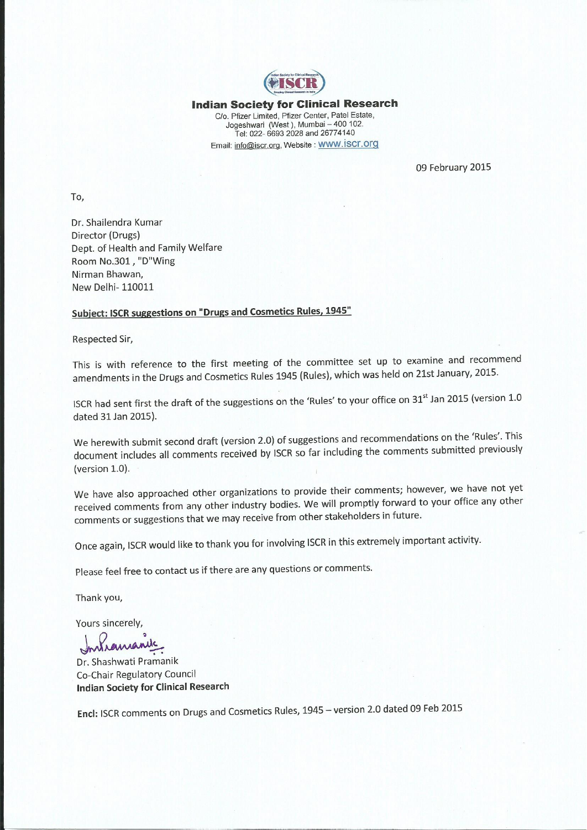

#### **Indian Society for Clinical Research** C/o. Pfizer Limited, Pfizer Center, Patel Estate, Jogeshwari (West), Mumbai - 400 102. Tel: 022- 6693 2028 and 26774140 Email: info@iscr.org, Website: WWW. İSCI.Org

09 February 2015

To,

Dr. Shailendra Kumar Director (Drugs) Dept. of Health and Family Welfare Room No.301, "D"Wing Nirman Bhawan, New Delhi- 110011

#### Subject: ISCR suggestions on "Drugs and Cosmetics Rules, 1945"

Respected Sir,

This is with reference to the first meeting of the committee set up to examine and recommend amendments in the Drugs and Cosmetics Rules 1945 (Rules), which was held on 21st January, 2015.

ISCR had sent first the draft of the suggestions on the 'Rules' to your office on 31st Jan 2015 (version 1.0 dated 31 Jan 2015).

We herewith submit second draft (version 2.0) of suggestions and recommendations on the 'Rules'. This document includes all comments received by ISCR so far including the comments submitted previously (version 1.0).

We have also approached other organizations to provide their comments; however, we have not yet received comments from any other industry bodies. We will promptly forward to your office any other comments or suggestions that we may receive from other stakeholders in future.

Once again, ISCR would like to thank you for involving ISCR in this extremely important activity.

Please feel free to contact us if there are any questions or comments.

Thank you,

Yours sincerely,

Dr. Shashwati Pramanik Co-Chair Regulatory Council **Indian Society for Clinical Research** 

Encl: ISCR comments on Drugs and Cosmetics Rules, 1945 - version 2.0 dated 09 Feb 2015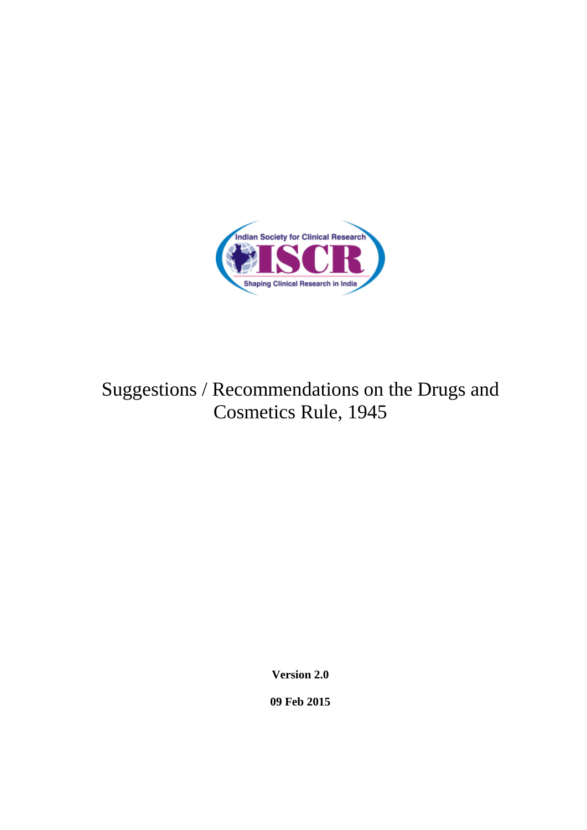

# Suggestions / Recommendations on the Drugs and Cosmetics Rule, 1945

**Version 2.0**

**09 Feb 2015**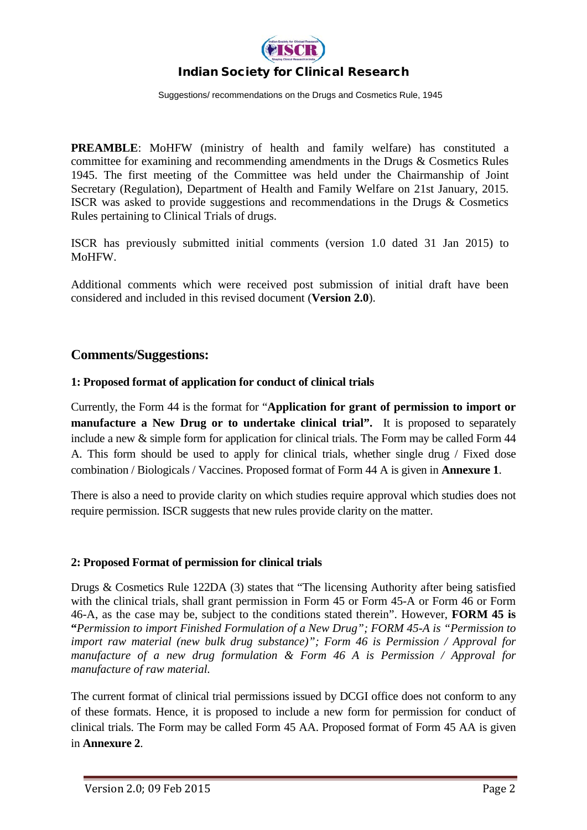

Suggestions/ recommendations on the Drugs and Cosmetics Rule, 1945

**PREAMBLE:** MoHFW (ministry of health and family welfare) has constituted a committee for examining and recommending amendments in the Drugs & Cosmetics Rules 1945. The first meeting of the Committee was held under the Chairmanship of Joint Secretary (Regulation), Department of Health and Family Welfare on 21st January, 2015. ISCR was asked to provide suggestions and recommendations in the Drugs & Cosmetics Rules pertaining to Clinical Trials of drugs.

ISCR has previously submitted initial comments (version 1.0 dated 31 Jan 2015) to MoHFW.

Additional comments which were received post submission of initial draft have been considered and included in this revised document (**Version 2.0**).

#### **Comments/Suggestions:**

#### **1: Proposed format of application for conduct of clinical trials**

Currently, the Form 44 is the format for "**Application for grant of permission to import or manufacture a New Drug or to undertake clinical trial".** It is proposed to separately include a new & simple form for application for clinical trials. The Form may be called Form 44 A. This form should be used to apply for clinical trials, whether single drug / Fixed dose combination / Biologicals / Vaccines. Proposed format of Form 44 A is given in **Annexure 1**.

There is also a need to provide clarity on which studies require approval which studies does not require permission. ISCR suggests that new rules provide clarity on the matter.

#### **2: Proposed Format of permission for clinical trials**

Drugs & Cosmetics Rule 122DA (3) states that "The licensing Authority after being satisfied with the clinical trials, shall grant permission in Form 45 or Form 45-A or Form 46 or Form 46-A, as the case may be, subject to the conditions stated therein". However, **FORM 45 is "***Permission to import Finished Formulation of a New Drug"; FORM 45-A is "Permission to import raw material (new bulk drug substance)"; Form 46 is Permission / Approval for manufacture of a new drug formulation & Form 46 A is Permission / Approval for manufacture of raw material.* 

The current format of clinical trial permissions issued by DCGI office does not conform to any of these formats. Hence, it is proposed to include a new form for permission for conduct of clinical trials. The Form may be called Form 45 AA. Proposed format of Form 45 AA is given in **Annexure 2**.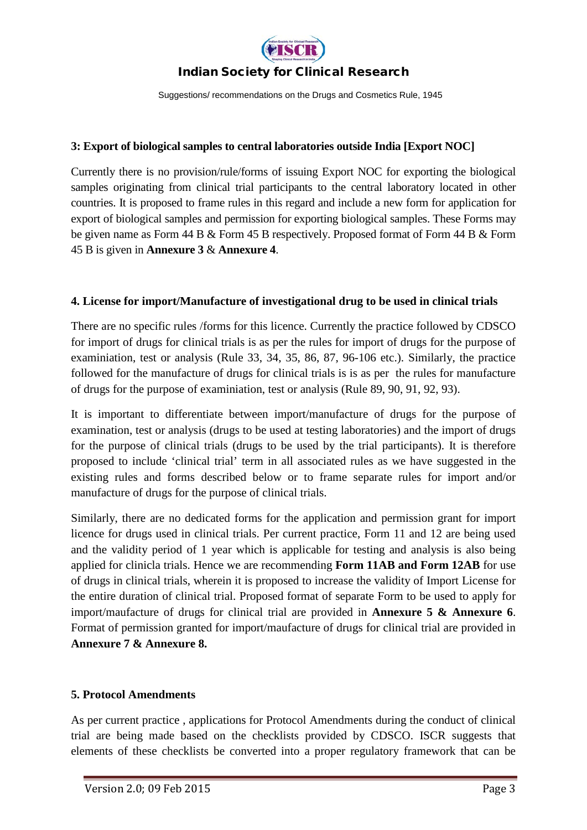

Suggestions/ recommendations on the Drugs and Cosmetics Rule, 1945

#### **3: Export of biological samples to central laboratories outside India [Export NOC]**

Currently there is no provision/rule/forms of issuing Export NOC for exporting the biological samples originating from clinical trial participants to the central laboratory located in other countries. It is proposed to frame rules in this regard and include a new form for application for export of biological samples and permission for exporting biological samples. These Forms may be given name as Form 44 B & Form 45 B respectively. Proposed format of Form 44 B & Form 45 B is given in **Annexure 3** & **Annexure 4**.

#### **4. License for import/Manufacture of investigational drug to be used in clinical trials**

There are no specific rules /forms for this licence. Currently the practice followed by CDSCO for import of drugs for clinical trials is as per the rules for import of drugs for the purpose of examiniation, test or analysis (Rule 33, 34, 35, 86, 87, 96-106 etc.). Similarly, the practice followed for the manufacture of drugs for clinical trials is is as per the rules for manufacture of drugs for the purpose of examiniation, test or analysis (Rule 89, 90, 91, 92, 93).

It is important to differentiate between import/manufacture of drugs for the purpose of examination, test or analysis (drugs to be used at testing laboratories) and the import of drugs for the purpose of clinical trials (drugs to be used by the trial participants). It is therefore proposed to include 'clinical trial' term in all associated rules as we have suggested in the existing rules and forms described below or to frame separate rules for import and/or manufacture of drugs for the purpose of clinical trials.

Similarly, there are no dedicated forms for the application and permission grant for import licence for drugs used in clinical trials. Per current practice, Form 11 and 12 are being used and the validity period of 1 year which is applicable for testing and analysis is also being applied for clinicla trials. Hence we are recommending **Form 11AB and Form 12AB** for use of drugs in clinical trials, wherein it is proposed to increase the validity of Import License for the entire duration of clinical trial. Proposed format of separate Form to be used to apply for import/maufacture of drugs for clinical trial are provided in **Annexure 5 & Annexure 6**. Format of permission granted for import/maufacture of drugs for clinical trial are provided in **Annexure 7 & Annexure 8.**

#### **5. Protocol Amendments**

As per current practice , applications for Protocol Amendments during the conduct of clinical trial are being made based on the checklists provided by CDSCO. ISCR suggests that elements of these checklists be converted into a proper regulatory framework that can be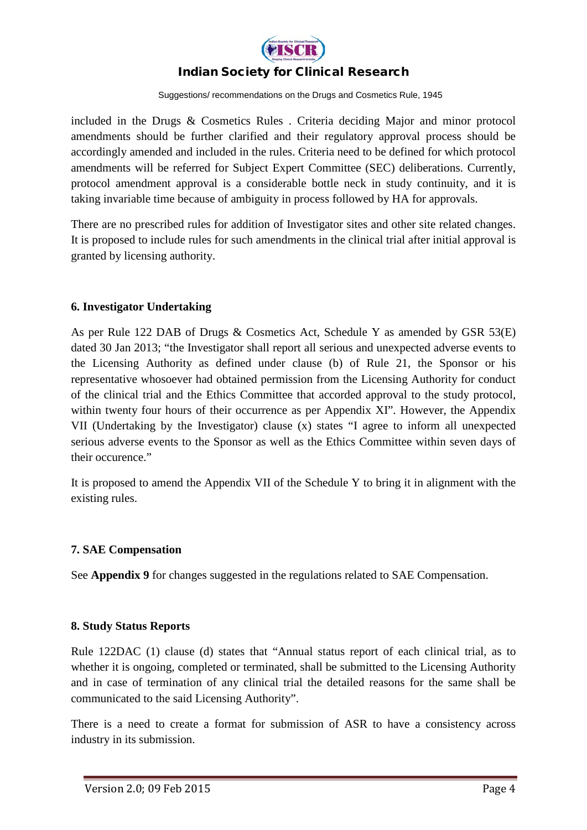

Suggestions/ recommendations on the Drugs and Cosmetics Rule, 1945

included in the Drugs & Cosmetics Rules . Criteria deciding Major and minor protocol amendments should be further clarified and their regulatory approval process should be accordingly amended and included in the rules. Criteria need to be defined for which protocol amendments will be referred for Subject Expert Committee (SEC) deliberations. Currently, protocol amendment approval is a considerable bottle neck in study continuity, and it is taking invariable time because of ambiguity in process followed by HA for approvals.

There are no prescribed rules for addition of Investigator sites and other site related changes. It is proposed to include rules for such amendments in the clinical trial after initial approval is granted by licensing authority.

#### **6. Investigator Undertaking**

As per Rule 122 DAB of Drugs & Cosmetics Act, Schedule Y as amended by GSR 53(E) dated 30 Jan 2013; "the Investigator shall report all serious and unexpected adverse events to the Licensing Authority as defined under clause (b) of Rule 21, the Sponsor or his representative whosoever had obtained permission from the Licensing Authority for conduct of the clinical trial and the Ethics Committee that accorded approval to the study protocol, within twenty four hours of their occurrence as per Appendix XI". However, the Appendix VII (Undertaking by the Investigator) clause (x) states "I agree to inform all unexpected serious adverse events to the Sponsor as well as the Ethics Committee within seven days of their occurence."

It is proposed to amend the Appendix VII of the Schedule Y to bring it in alignment with the existing rules.

#### **7. SAE Compensation**

See **Appendix 9** for changes suggested in the regulations related to SAE Compensation.

#### **8. Study Status Reports**

Rule 122DAC (1) clause (d) states that "Annual status report of each clinical trial, as to whether it is ongoing, completed or terminated, shall be submitted to the Licensing Authority and in case of termination of any clinical trial the detailed reasons for the same shall be communicated to the said Licensing Authority".

There is a need to create a format for submission of ASR to have a consistency across industry in its submission.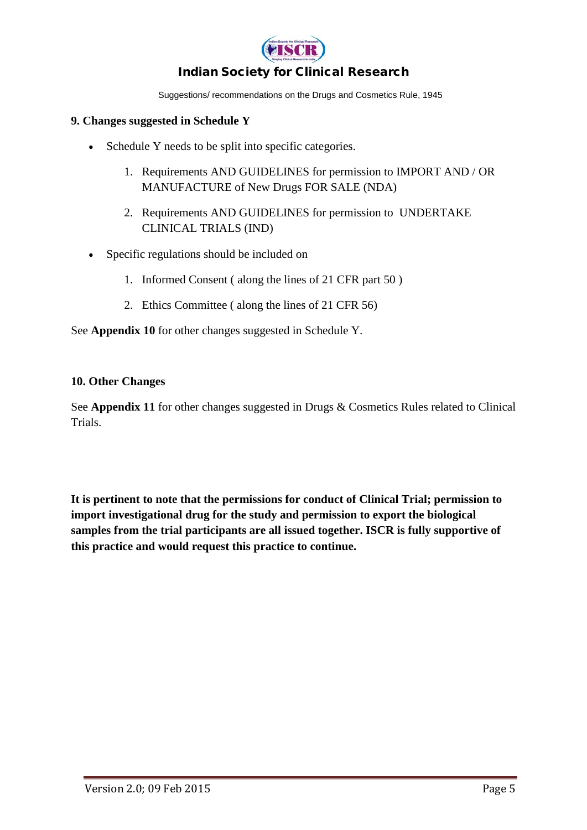

Suggestions/ recommendations on the Drugs and Cosmetics Rule, 1945

#### **9. Changes suggested in Schedule Y**

- Schedule Y needs to be split into specific categories.
	- 1. Requirements AND GUIDELINES for permission to IMPORT AND / OR MANUFACTURE of New Drugs FOR SALE (NDA)
	- 2. Requirements AND GUIDELINES for permission to UNDERTAKE CLINICAL TRIALS (IND)
- Specific regulations should be included on
	- 1. Informed Consent ( along the lines of 21 CFR part 50 )
	- 2. Ethics Committee ( along the lines of 21 CFR 56)

See **Appendix 10** for other changes suggested in Schedule Y.

#### **10. Other Changes**

See **Appendix 11** for other changes suggested in Drugs & Cosmetics Rules related to Clinical Trials.

**It is pertinent to note that the permissions for conduct of Clinical Trial; permission to import investigational drug for the study and permission to export the biological samples from the trial participants are all issued together. ISCR is fully supportive of this practice and would request this practice to continue.**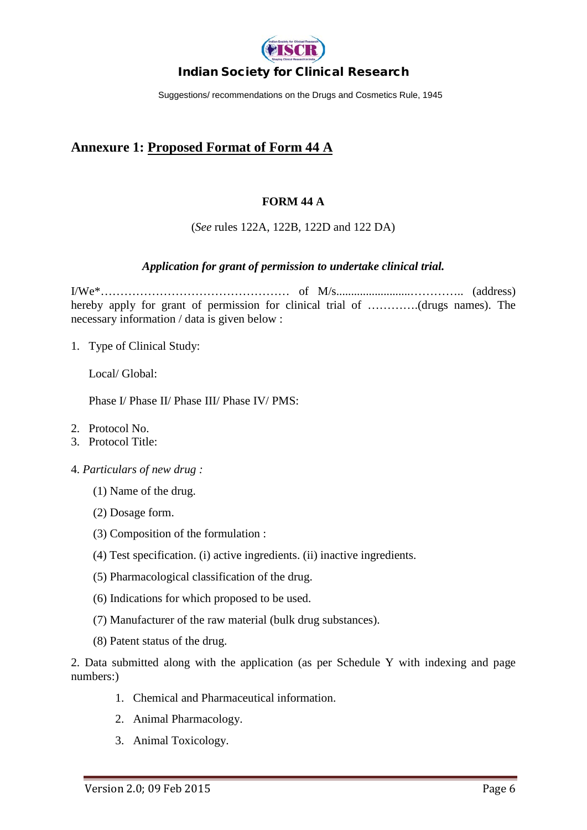

Suggestions/ recommendations on the Drugs and Cosmetics Rule, 1945

### **Annexure 1: Proposed Format of Form 44 A**

#### **FORM 44 A**

(*See* rules 122A, 122B, 122D and 122 DA)

#### *Application for grant of permission to undertake clinical trial.*

I/We\*………………………………………… of M/s.........................………….. (address) hereby apply for grant of permission for clinical trial of ………….(drugs names). The necessary information / data is given below :

1. Type of Clinical Study:

Local/ Global:

Phase I/ Phase II/ Phase III/ Phase IV/ PMS:

- 2. Protocol No.
- 3. Protocol Title:
- 4. *Particulars of new drug :* 
	- (1) Name of the drug.
	- (2) Dosage form.
	- (3) Composition of the formulation :
	- (4) Test specification. (i) active ingredients. (ii) inactive ingredients.
	- (5) Pharmacological classification of the drug.
	- (6) Indications for which proposed to be used.
	- (7) Manufacturer of the raw material (bulk drug substances).
	- (8) Patent status of the drug.

2. Data submitted along with the application (as per Schedule Y with indexing and page numbers:)

- 1. Chemical and Pharmaceutical information.
- 2. Animal Pharmacology.
- 3. Animal Toxicology.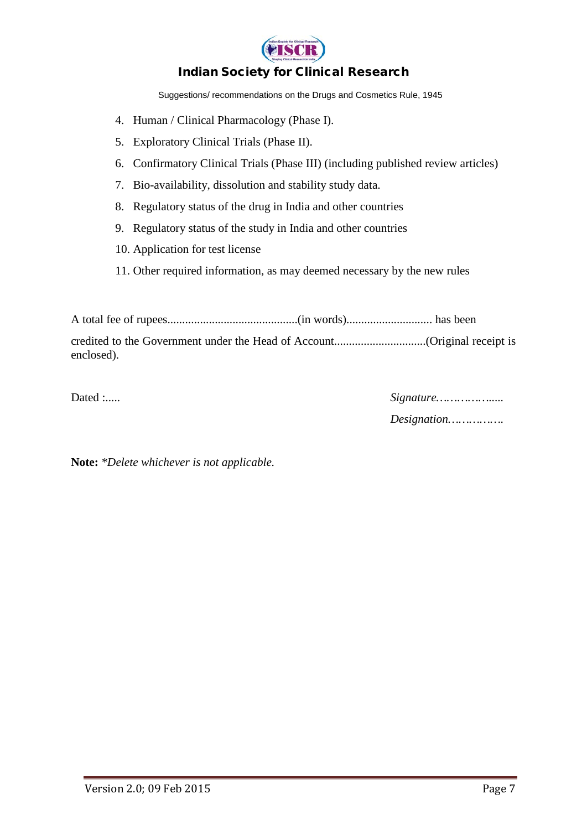

Suggestions/ recommendations on the Drugs and Cosmetics Rule, 1945

- 4. Human / Clinical Pharmacology (Phase I).
- 5. Exploratory Clinical Trials (Phase II).
- 6. Confirmatory Clinical Trials (Phase III) (including published review articles)
- 7. Bio-availability, dissolution and stability study data.
- 8. Regulatory status of the drug in India and other countries
- 9. Regulatory status of the study in India and other countries
- 10. Application for test license
- 11. Other required information, as may deemed necessary by the new rules

A total fee of rupees............................................(in words)............................. has been credited to the Government under the Head of Account...............................(Original receipt is enclosed).

Dated :..... *Signature…………….....* 

*Designation…………….* 

**Note:** *\*Delete whichever is not applicable.*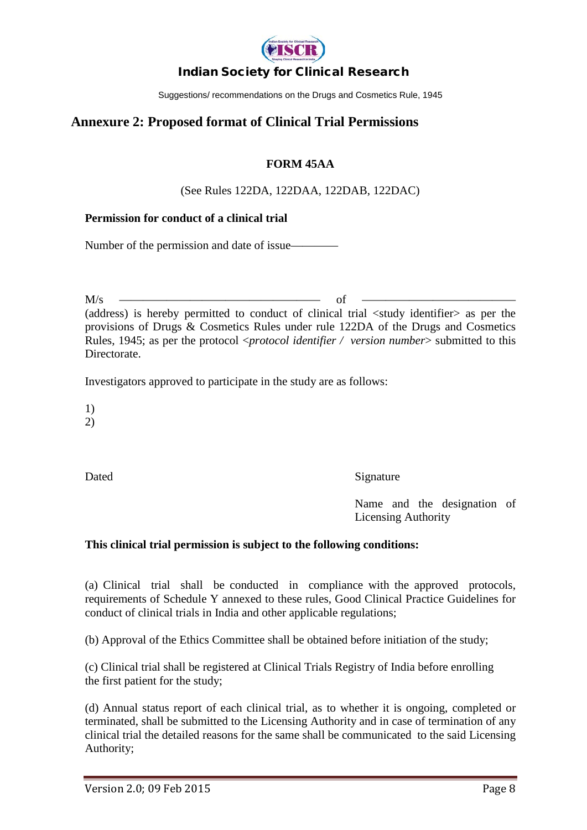

Suggestions/ recommendations on the Drugs and Cosmetics Rule, 1945

### **Annexure 2: Proposed format of Clinical Trial Permissions**

#### **FORM 45AA**

#### (See Rules 122DA, 122DAA, 122DAB, 122DAC)

#### **Permission for conduct of a clinical trial**

Number of the permission and date of issue—

M/s ————————————————— of ————————————— (address) is hereby permitted to conduct of clinical trial <study identifier> as per the provisions of Drugs & Cosmetics Rules under rule 122DA of the Drugs and Cosmetics Rules, 1945; as per the protocol <*protocol identifier / version number*> submitted to this **Directorate** 

Investigators approved to participate in the study are as follows:

1)

2)

Dated Signature

Name and the designation of Licensing Authority

#### **This clinical trial permission is subject to the following conditions:**

(a) Clinical trial shall be conducted in compliance with the approved protocols, requirements of Schedule Y annexed to these rules, Good Clinical Practice Guidelines for conduct of clinical trials in India and other applicable regulations;

(b) Approval of the Ethics Committee shall be obtained before initiation of the study;

(c) Clinical trial shall be registered at Clinical Trials Registry of India before enrolling the first patient for the study;

(d) Annual status report of each clinical trial, as to whether it is ongoing, completed or terminated, shall be submitted to the Licensing Authority and in case of termination of any clinical trial the detailed reasons for the same shall be communicated to the said Licensing Authority;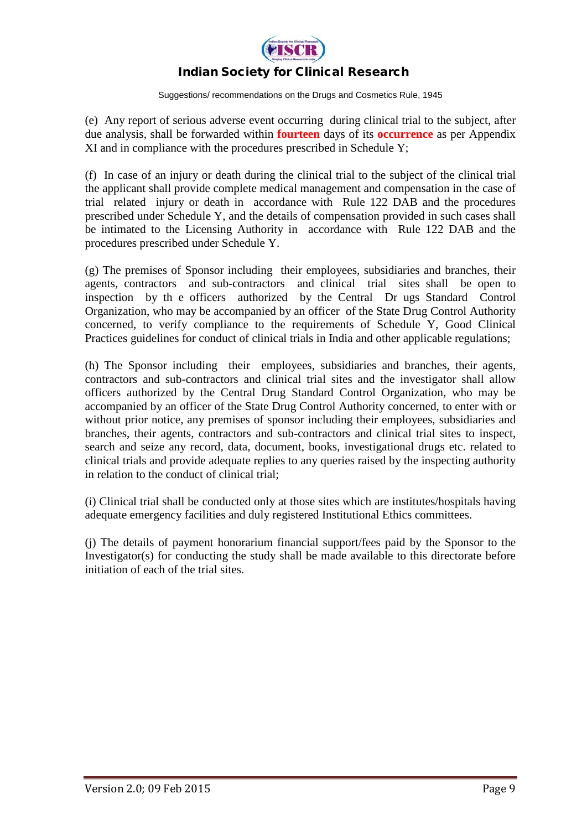

Suggestions/ recommendations on the Drugs and Cosmetics Rule, 1945

(e) Any report of serious adverse event occurring during clinical trial to the subject, after due analysis, shall be forwarded within **fourteen** days of its **occurrence** as per Appendix XI and in compliance with the procedures prescribed in Schedule Y;

(f) In case of an injury or death during the clinical trial to the subject of the clinical trial the applicant shall provide complete medical management and compensation in the case of trial related injury or death in accordance with Rule 122 DAB and the procedures prescribed under Schedule Y, and the details of compensation provided in such cases shall be intimated to the Licensing Authority in accordance with Rule 122 DAB and the procedures prescribed under Schedule Y.

(g) The premises of Sponsor including their employees, subsidiaries and branches, their agents, contractors and sub-contractors and clinical trial sites shall be open to inspection by th e officers authorized by the Central Dr ugs Standard Control Organization, who may be accompanied by an officer of the State Drug Control Authority concerned, to verify compliance to the requirements of Schedule Y, Good Clinical Practices guidelines for conduct of clinical trials in India and other applicable regulations;

(h) The Sponsor including their employees, subsidiaries and branches, their agents, contractors and sub-contractors and clinical trial sites and the investigator shall allow officers authorized by the Central Drug Standard Control Organization, who may be accompanied by an officer of the State Drug Control Authority concerned, to enter with or without prior notice, any premises of sponsor including their employees, subsidiaries and branches, their agents, contractors and sub-contractors and clinical trial sites to inspect, search and seize any record, data, document, books, investigational drugs etc. related to clinical trials and provide adequate replies to any queries raised by the inspecting authority in relation to the conduct of clinical trial;

(i) Clinical trial shall be conducted only at those sites which are institutes/hospitals having adequate emergency facilities and duly registered Institutional Ethics committees.

(j) The details of payment honorarium financial support/fees paid by the Sponsor to the Investigator(s) for conducting the study shall be made available to this directorate before initiation of each of the trial sites.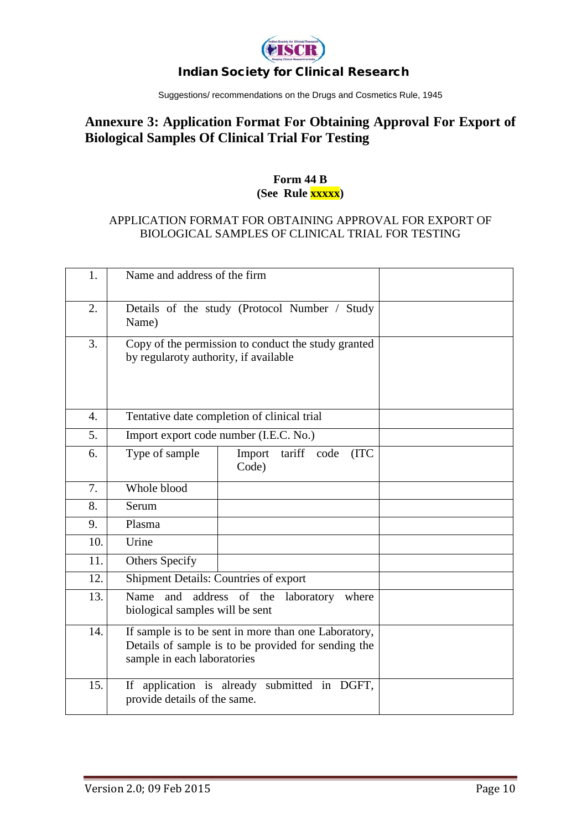

Suggestions/ recommendations on the Drugs and Cosmetics Rule, 1945

# **Annexure 3: Application Format For Obtaining Approval For Export of Biological Samples Of Clinical Trial For Testing**

#### **Form 44 B (See Rule xxxxx)**

#### APPLICATION FORMAT FOR OBTAINING APPROVAL FOR EXPORT OF BIOLOGICAL SAMPLES OF CLINICAL TRIAL FOR TESTING

| 1.               | Name and address of the firm                                                                                                               |                                               |  |
|------------------|--------------------------------------------------------------------------------------------------------------------------------------------|-----------------------------------------------|--|
| 2.               | Name)                                                                                                                                      | Details of the study (Protocol Number / Study |  |
| 3.               | Copy of the permission to conduct the study granted<br>by regularoty authority, if available                                               |                                               |  |
| $\overline{4}$ . |                                                                                                                                            | Tentative date completion of clinical trial   |  |
| 5.               | Import export code number (I.E.C. No.)                                                                                                     |                                               |  |
| 6.               | Type of sample                                                                                                                             | tariff code<br>Import<br>(ITC<br>Code)        |  |
| 7.               | Whole blood                                                                                                                                |                                               |  |
| 8.               | Serum                                                                                                                                      |                                               |  |
| 9.               | Plasma                                                                                                                                     |                                               |  |
| 10.              | Urine                                                                                                                                      |                                               |  |
| 11.              | <b>Others Specify</b>                                                                                                                      |                                               |  |
| 12.              | Shipment Details: Countries of export                                                                                                      |                                               |  |
| 13.              | address of the<br>and<br>laboratory<br>Name<br>where<br>biological samples will be sent                                                    |                                               |  |
| 14.              | If sample is to be sent in more than one Laboratory,<br>Details of sample is to be provided for sending the<br>sample in each laboratories |                                               |  |
| 15.              | provide details of the same.                                                                                                               | If application is already submitted in DGFT,  |  |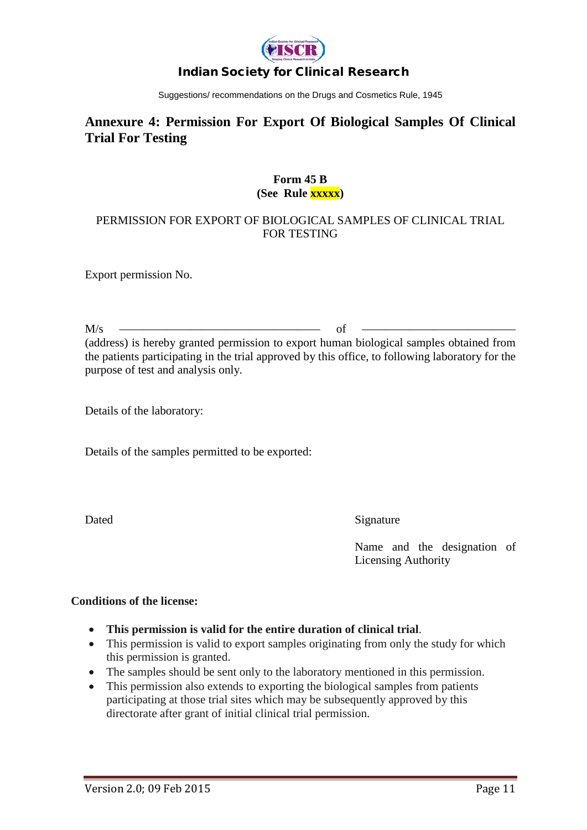

Suggestions/ recommendations on the Drugs and Cosmetics Rule, 1945

# **Annexure 4: Permission For Export Of Biological Samples Of Clinical Trial For Testing**

#### **Form 45 B (See Rule xxxxx)**

#### PERMISSION FOR EXPORT OF BIOLOGICAL SAMPLES OF CLINICAL TRIAL FOR TESTING

Export permission No.

M/s ————————————————— of ————————————— (address) is hereby granted permission to export human biological samples obtained from the patients participating in the trial approved by this office, to following laboratory for the purpose of test and analysis only.

Details of the laboratory:

Details of the samples permitted to be exported:

Dated Signature

Name and the designation of Licensing Authority

#### **Conditions of the license:**

- **This permission is valid for the entire duration of clinical trial**.
- This permission is valid to export samples originating from only the study for which this permission is granted.
- The samples should be sent only to the laboratory mentioned in this permission.
- This permission also extends to exporting the biological samples from patients participating at those trial sites which may be subsequently approved by this directorate after grant of initial clinical trial permission.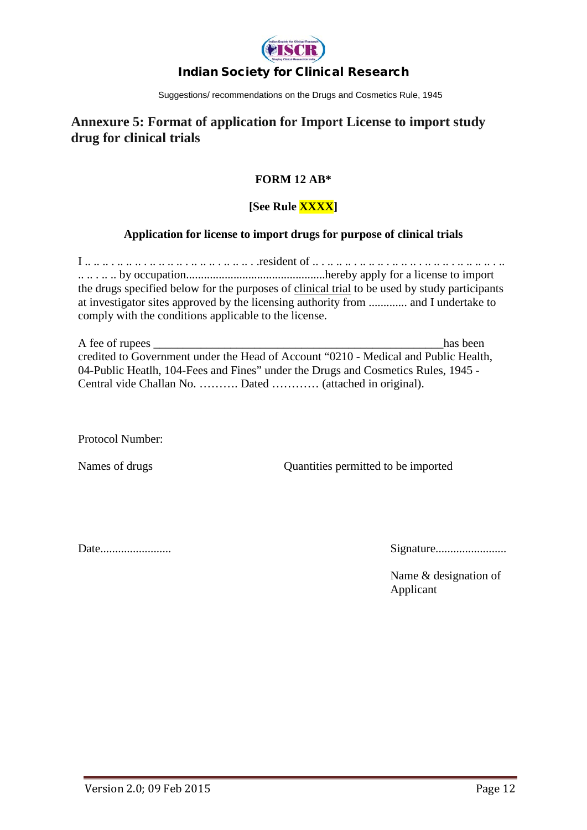

Suggestions/ recommendations on the Drugs and Cosmetics Rule, 1945

### **Annexure 5: Format of application for Import License to import study drug for clinical trials**

### **FORM 12 AB\***

### **[See Rule XXXX]**

#### **Application for license to import drugs for purpose of clinical trials**

I .. .. .. . .. .. .. . .. .. .. .. . .. .. .. . .. .. .. . .resident of .. . .. .. .. . .. .. .. . .. .. .. . .. .. .. . .. .. .. .. . .. .. .. . .. .. by occupation...............................................hereby apply for a license to import the drugs specified below for the purposes of clinical trial to be used by study participants at investigator sites approved by the licensing authority from ............. and I undertake to comply with the conditions applicable to the license.

| A fee of rupees                                                                     | has been |
|-------------------------------------------------------------------------------------|----------|
| credited to Government under the Head of Account "0210 - Medical and Public Health, |          |
| 04-Public Heatlh, 104-Fees and Fines" under the Drugs and Cosmetics Rules, 1945 -   |          |
| Central vide Challan No.  Dated  (attached in original).                            |          |

Protocol Number:

Names of drugs Quantities permitted to be imported

Date........................ Signature........................

Name & designation of Applicant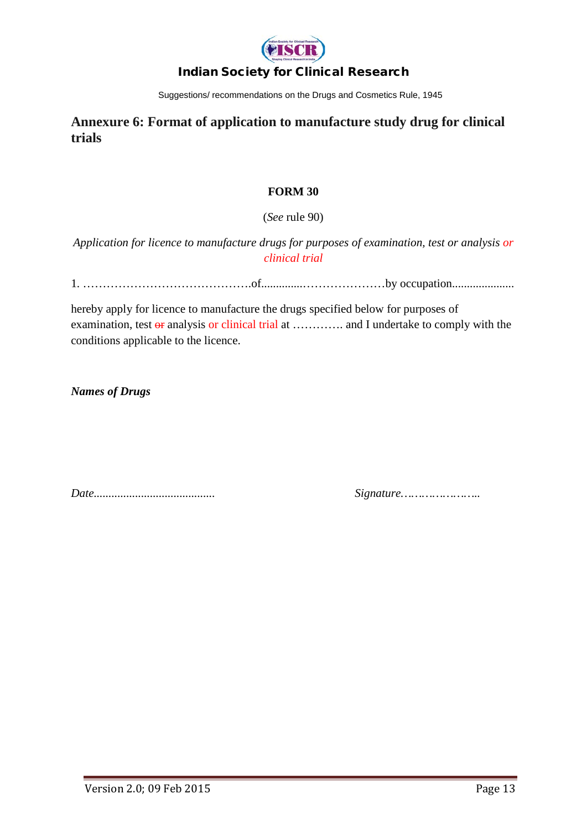

Suggestions/ recommendations on the Drugs and Cosmetics Rule, 1945

### **Annexure 6: Format of application to manufacture study drug for clinical trials**

#### **FORM 30**

(*See* rule 90)

*Application for licence to manufacture drugs for purposes of examination, test or analysis or clinical trial*

1. …………………………………….of..............…………………by occupation.....................

hereby apply for licence to manufacture the drugs specified below for purposes of examination, test  $\Theta$ **r** analysis or clinical trial at ............. and I undertake to comply with the conditions applicable to the licence.

*Names of Drugs* 

*Date......................................... Signature…………………..*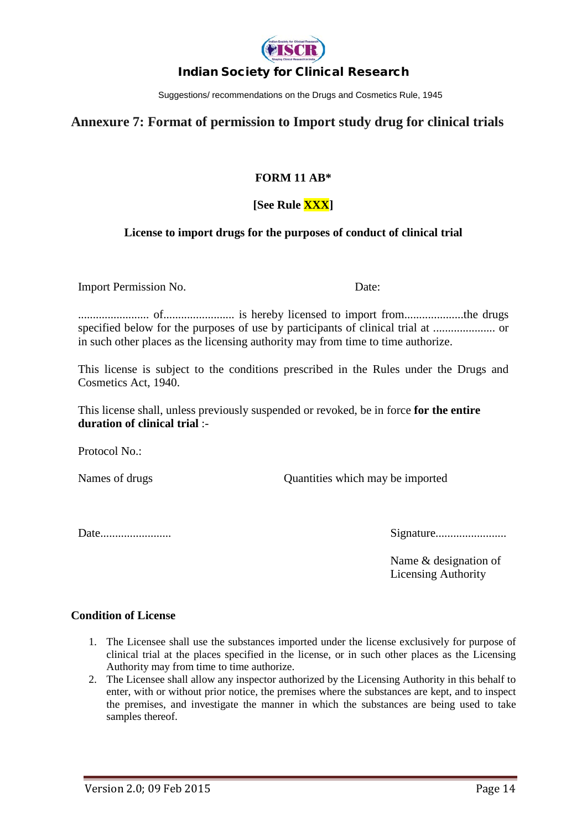

Suggestions/ recommendations on the Drugs and Cosmetics Rule, 1945

### **Annexure 7: Format of permission to Import study drug for clinical trials**

#### **FORM 11 AB\***

### **[See Rule XXX]**

#### **License to import drugs for the purposes of conduct of clinical trial**

Import Permission No. Date:

........................ of........................ is hereby licensed to import from....................the drugs specified below for the purposes of use by participants of clinical trial at ..................... or in such other places as the licensing authority may from time to time authorize.

This license is subject to the conditions prescribed in the Rules under the Drugs and Cosmetics Act, 1940.

This license shall, unless previously suspended or revoked, be in force **for the entire duration of clinical trial** :-

Protocol No.:

Names of drugs Quantities which may be imported

Date........................ Signature........................

Name & designation of Licensing Authority

#### **Condition of License**

- 1. The Licensee shall use the substances imported under the license exclusively for purpose of clinical trial at the places specified in the license, or in such other places as the Licensing Authority may from time to time authorize.
- 2. The Licensee shall allow any inspector authorized by the Licensing Authority in this behalf to enter, with or without prior notice, the premises where the substances are kept, and to inspect the premises, and investigate the manner in which the substances are being used to take samples thereof.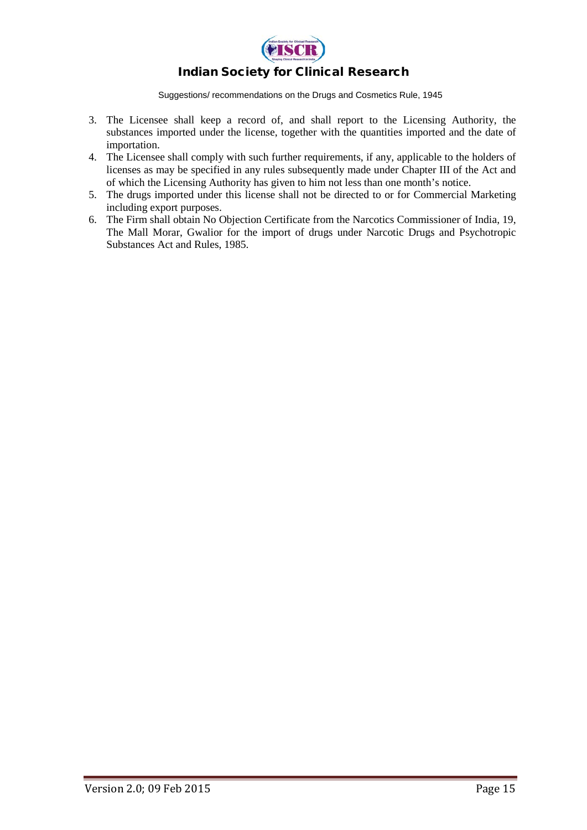

- 3. The Licensee shall keep a record of, and shall report to the Licensing Authority, the substances imported under the license, together with the quantities imported and the date of importation.
- 4. The Licensee shall comply with such further requirements, if any, applicable to the holders of licenses as may be specified in any rules subsequently made under Chapter III of the Act and of which the Licensing Authority has given to him not less than one month's notice.
- 5. The drugs imported under this license shall not be directed to or for Commercial Marketing including export purposes.
- 6. The Firm shall obtain No Objection Certificate from the Narcotics Commissioner of India, 19, The Mall Morar, Gwalior for the import of drugs under Narcotic Drugs and Psychotropic Substances Act and Rules, 1985.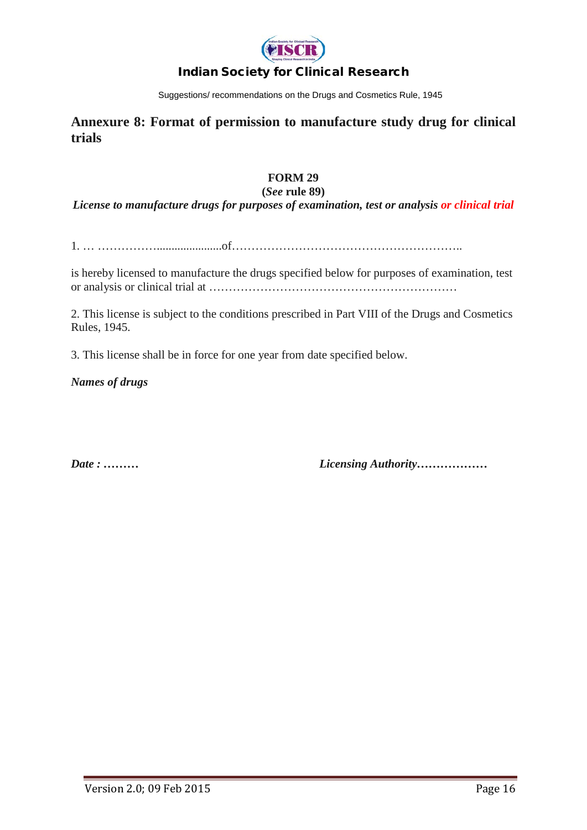

Suggestions/ recommendations on the Drugs and Cosmetics Rule, 1945

**Annexure 8: Format of permission to manufacture study drug for clinical trials** 

#### **FORM 29**

#### **(***See* **rule 89)**

*License to manufacture drugs for purposes of examination, test or analysis or clinical trial* 

1. … ……………......................of…………………………………………………..

is hereby licensed to manufacture the drugs specified below for purposes of examination, test or analysis or clinical trial at ………………………………………………………

2. This license is subject to the conditions prescribed in Part VIII of the Drugs and Cosmetics Rules, 1945.

3. This license shall be in force for one year from date specified below.

*Names of drugs* 

*Date : ……… Licensing Authority………………*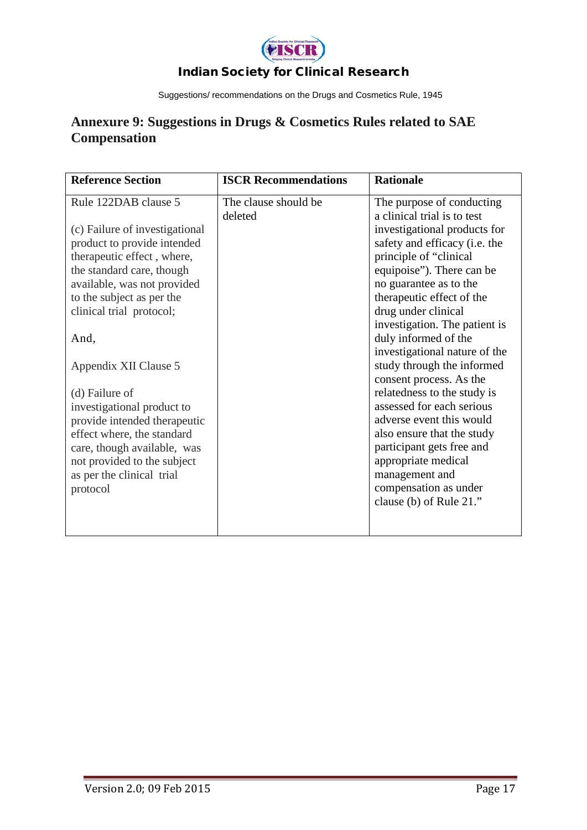

Suggestions/ recommendations on the Drugs and Cosmetics Rule, 1945

# **Annexure 9: Suggestions in Drugs & Cosmetics Rules related to SAE Compensation**

| <b>Reference Section</b>       | <b>ISCR Recommendations</b> | <b>Rationale</b>              |
|--------------------------------|-----------------------------|-------------------------------|
| Rule 122DAB clause 5           | The clause should be        | The purpose of conducting     |
|                                | deleted                     | a clinical trial is to test   |
| (c) Failure of investigational |                             | investigational products for  |
| product to provide intended    |                             | safety and efficacy (i.e. the |
| therapeutic effect, where,     |                             | principle of "clinical        |
| the standard care, though      |                             | equipoise"). There can be     |
| available, was not provided    |                             | no guarantee as to the        |
| to the subject as per the      |                             | therapeutic effect of the     |
| clinical trial protocol;       |                             | drug under clinical           |
|                                |                             | investigation. The patient is |
| And,                           |                             | duly informed of the          |
|                                |                             | investigational nature of the |
| Appendix XII Clause 5          |                             | study through the informed    |
|                                |                             | consent process. As the       |
| (d) Failure of                 |                             | relatedness to the study is   |
| investigational product to     |                             | assessed for each serious     |
| provide intended therapeutic   |                             | adverse event this would      |
| effect where, the standard     |                             | also ensure that the study    |
| care, though available, was    |                             | participant gets free and     |
| not provided to the subject    |                             | appropriate medical           |
| as per the clinical trial      |                             | management and                |
| protocol                       |                             | compensation as under         |
|                                |                             | clause (b) of Rule 21."       |
|                                |                             |                               |
|                                |                             |                               |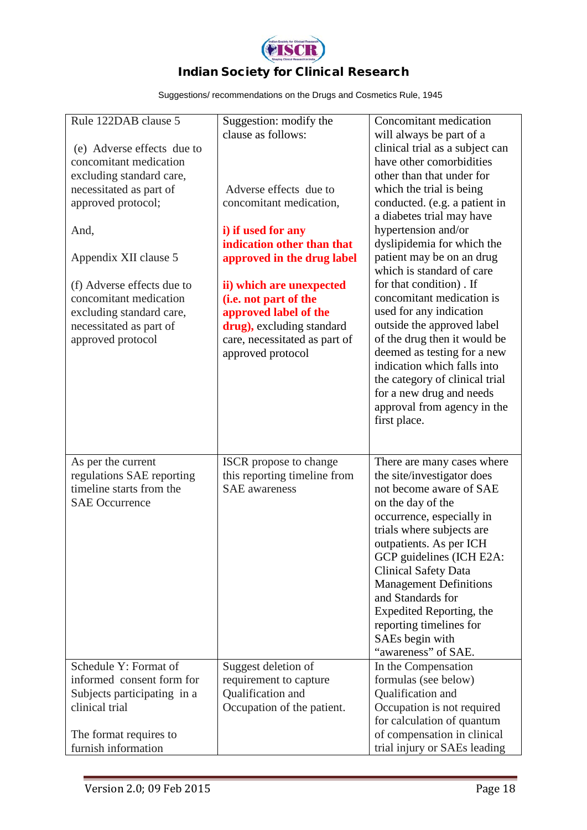

| Rule 122DAB clause 5                          | Suggestion: modify the                           | Concomitant medication                                      |
|-----------------------------------------------|--------------------------------------------------|-------------------------------------------------------------|
|                                               | clause as follows:                               | will always be part of a                                    |
| (e) Adverse effects due to                    |                                                  | clinical trial as a subject can                             |
| concomitant medication                        |                                                  | have other comorbidities                                    |
| excluding standard care,                      |                                                  | other than that under for                                   |
| necessitated as part of                       | Adverse effects due to                           | which the trial is being                                    |
| approved protocol;                            | concomitant medication,                          | conducted. (e.g. a patient in                               |
|                                               |                                                  | a diabetes trial may have<br>hypertension and/or            |
| And,                                          | i) if used for any<br>indication other than that | dyslipidemia for which the                                  |
| Appendix XII clause 5                         | approved in the drug label                       | patient may be on an drug                                   |
|                                               |                                                  | which is standard of care                                   |
| (f) Adverse effects due to                    | ii) which are unexpected                         | for that condition). If                                     |
| concomitant medication                        | (i.e. not part of the                            | concomitant medication is                                   |
| excluding standard care,                      | approved label of the                            | used for any indication                                     |
| necessitated as part of                       | drug), excluding standard                        | outside the approved label                                  |
| approved protocol                             | care, necessitated as part of                    | of the drug then it would be                                |
|                                               | approved protocol                                | deemed as testing for a new                                 |
|                                               |                                                  | indication which falls into                                 |
|                                               |                                                  | the category of clinical trial                              |
|                                               |                                                  | for a new drug and needs                                    |
|                                               |                                                  | approval from agency in the                                 |
|                                               |                                                  | first place.                                                |
|                                               |                                                  |                                                             |
| As per the current                            |                                                  |                                                             |
|                                               |                                                  |                                                             |
|                                               | ISCR propose to change                           | There are many cases where                                  |
| regulations SAE reporting                     | this reporting timeline from                     | the site/investigator does                                  |
| timeline starts from the                      | <b>SAE</b> awareness                             | not become aware of SAE                                     |
| <b>SAE Occurrence</b>                         |                                                  | on the day of the                                           |
|                                               |                                                  | occurrence, especially in                                   |
|                                               |                                                  | trials where subjects are                                   |
|                                               |                                                  | outpatients. As per ICH                                     |
|                                               |                                                  | GCP guidelines (ICH E2A:                                    |
|                                               |                                                  | <b>Clinical Safety Data</b>                                 |
|                                               |                                                  | <b>Management Definitions</b><br>and Standards for          |
|                                               |                                                  | Expedited Reporting, the                                    |
|                                               |                                                  | reporting timelines for                                     |
|                                               |                                                  | SAEs begin with                                             |
|                                               |                                                  | "awareness" of SAE.                                         |
| Schedule Y: Format of                         | Suggest deletion of                              | In the Compensation                                         |
| informed consent form for                     | requirement to capture                           | formulas (see below)                                        |
| Subjects participating in a                   | Qualification and                                | Qualification and                                           |
| clinical trial                                | Occupation of the patient.                       | Occupation is not required                                  |
|                                               |                                                  | for calculation of quantum                                  |
| The format requires to<br>furnish information |                                                  | of compensation in clinical<br>trial injury or SAEs leading |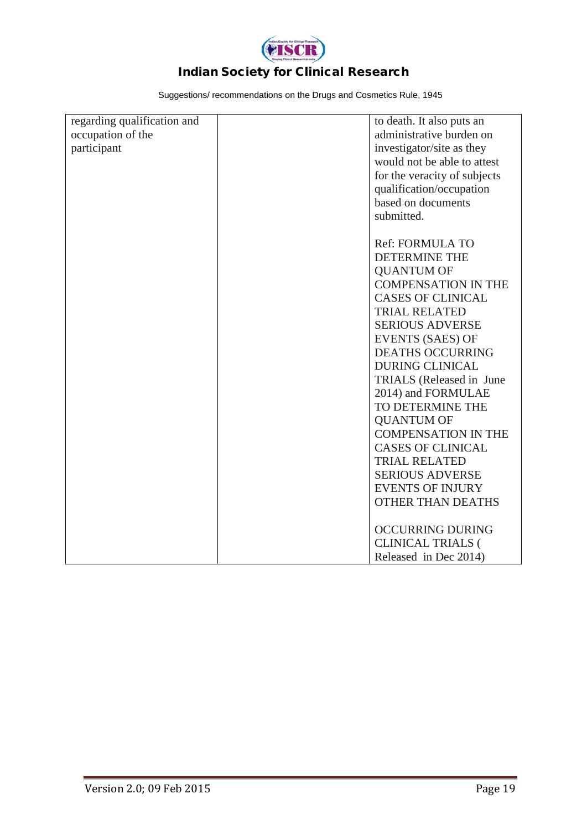

| regarding qualification and | to death. It also puts an    |
|-----------------------------|------------------------------|
| occupation of the           | administrative burden on     |
|                             |                              |
| participant                 | investigator/site as they    |
|                             | would not be able to attest  |
|                             | for the veracity of subjects |
|                             | qualification/occupation     |
|                             | based on documents           |
|                             | submitted.                   |
|                             |                              |
|                             | <b>Ref: FORMULA TO</b>       |
|                             | <b>DETERMINE THE</b>         |
|                             | <b>QUANTUM OF</b>            |
|                             | <b>COMPENSATION IN THE</b>   |
|                             | <b>CASES OF CLINICAL</b>     |
|                             | <b>TRIAL RELATED</b>         |
|                             | <b>SERIOUS ADVERSE</b>       |
|                             | <b>EVENTS (SAES) OF</b>      |
|                             | <b>DEATHS OCCURRING</b>      |
|                             | <b>DURING CLINICAL</b>       |
|                             | TRIALS (Released in June     |
|                             | 2014) and FORMULAE           |
|                             | TO DETERMINE THE             |
|                             | <b>QUANTUM OF</b>            |
|                             | <b>COMPENSATION IN THE</b>   |
|                             | <b>CASES OF CLINICAL</b>     |
|                             | <b>TRIAL RELATED</b>         |
|                             | <b>SERIOUS ADVERSE</b>       |
|                             | <b>EVENTS OF INJURY</b>      |
|                             | <b>OTHER THAN DEATHS</b>     |
|                             |                              |
|                             | <b>OCCURRING DURING</b>      |
|                             | <b>CLINICAL TRIALS (</b>     |
|                             | Released in Dec 2014)        |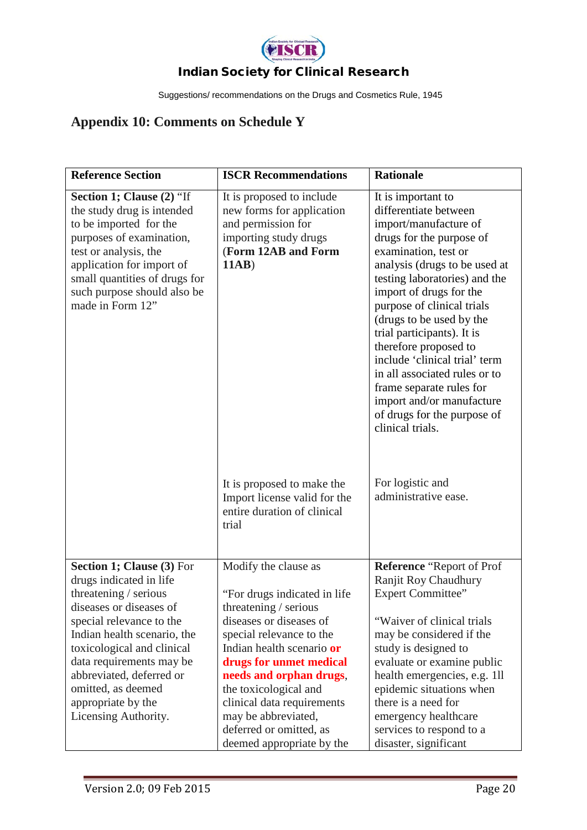

Suggestions/ recommendations on the Drugs and Cosmetics Rule, 1945

# **Appendix 10: Comments on Schedule Y**

| <b>Reference Section</b>                                                                                                                                                                                                                                                                                                      | <b>ISCR Recommendations</b>                                                                                                                                                                                                                                                                                                                                   | <b>Rationale</b>                                                                                                                                                                                                                                                                                                                                                                                                                                                                                                     |
|-------------------------------------------------------------------------------------------------------------------------------------------------------------------------------------------------------------------------------------------------------------------------------------------------------------------------------|---------------------------------------------------------------------------------------------------------------------------------------------------------------------------------------------------------------------------------------------------------------------------------------------------------------------------------------------------------------|----------------------------------------------------------------------------------------------------------------------------------------------------------------------------------------------------------------------------------------------------------------------------------------------------------------------------------------------------------------------------------------------------------------------------------------------------------------------------------------------------------------------|
| Section 1; Clause (2) "If<br>the study drug is intended<br>to be imported for the<br>purposes of examination,<br>test or analysis, the<br>application for import of<br>small quantities of drugs for<br>such purpose should also be<br>made in Form 12"                                                                       | It is proposed to include<br>new forms for application<br>and permission for<br>importing study drugs<br>(Form 12AB and Form<br>11AB                                                                                                                                                                                                                          | It is important to<br>differentiate between<br>import/manufacture of<br>drugs for the purpose of<br>examination, test or<br>analysis (drugs to be used at<br>testing laboratories) and the<br>import of drugs for the<br>purpose of clinical trials<br>(drugs to be used by the<br>trial participants). It is<br>therefore proposed to<br>include 'clinical trial' term<br>in all associated rules or to<br>frame separate rules for<br>import and/or manufacture<br>of drugs for the purpose of<br>clinical trials. |
|                                                                                                                                                                                                                                                                                                                               | It is proposed to make the<br>Import license valid for the<br>entire duration of clinical<br>trial                                                                                                                                                                                                                                                            | For logistic and<br>administrative ease.                                                                                                                                                                                                                                                                                                                                                                                                                                                                             |
| Section 1; Clause (3) For<br>drugs indicated in life<br>threatening / serious<br>diseases or diseases of<br>special relevance to the<br>Indian health scenario, the<br>toxicological and clinical<br>data requirements may be<br>abbreviated, deferred or<br>omitted, as deemed<br>appropriate by the<br>Licensing Authority. | Modify the clause as<br>"For drugs indicated in life<br>threatening / serious<br>diseases or diseases of<br>special relevance to the<br>Indian health scenario or<br>drugs for unmet medical<br>needs and orphan drugs,<br>the toxicological and<br>clinical data requirements<br>may be abbreviated,<br>deferred or omitted, as<br>deemed appropriate by the | Reference "Report of Prof<br>Ranjit Roy Chaudhury<br><b>Expert Committee"</b><br>"Waiver of clinical trials"<br>may be considered if the<br>study is designed to<br>evaluate or examine public<br>health emergencies, e.g. 1ll<br>epidemic situations when<br>there is a need for<br>emergency healthcare<br>services to respond to a<br>disaster, significant                                                                                                                                                       |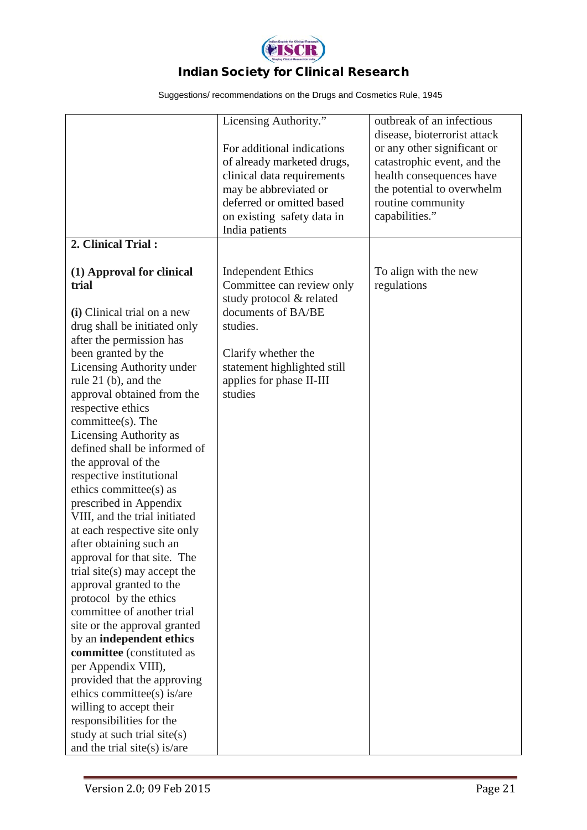

|                                                      | Licensing Authority."                                   | outbreak of an infectious                                   |
|------------------------------------------------------|---------------------------------------------------------|-------------------------------------------------------------|
|                                                      | For additional indications                              | disease, bioterrorist attack<br>or any other significant or |
|                                                      | of already marketed drugs,                              | catastrophic event, and the                                 |
|                                                      | clinical data requirements                              | health consequences have                                    |
|                                                      | may be abbreviated or                                   | the potential to overwhelm                                  |
|                                                      | deferred or omitted based                               | routine community                                           |
|                                                      | on existing safety data in                              | capabilities."                                              |
|                                                      | India patients                                          |                                                             |
| 2. Clinical Trial:                                   |                                                         |                                                             |
| (1) Approval for clinical                            | <b>Independent Ethics</b>                               | To align with the new                                       |
| trial                                                | Committee can review only                               | regulations                                                 |
|                                                      | study protocol & related                                |                                                             |
| (i) Clinical trial on a new                          | documents of BA/BE                                      |                                                             |
| drug shall be initiated only                         | studies.                                                |                                                             |
| after the permission has                             |                                                         |                                                             |
| been granted by the                                  | Clarify whether the                                     |                                                             |
| Licensing Authority under                            | statement highlighted still<br>applies for phase II-III |                                                             |
| rule $21$ (b), and the<br>approval obtained from the | studies                                                 |                                                             |
| respective ethics                                    |                                                         |                                                             |
| committee(s). The                                    |                                                         |                                                             |
| Licensing Authority as                               |                                                         |                                                             |
| defined shall be informed of                         |                                                         |                                                             |
| the approval of the                                  |                                                         |                                                             |
| respective institutional                             |                                                         |                                                             |
| ethics committee(s) as                               |                                                         |                                                             |
| prescribed in Appendix                               |                                                         |                                                             |
| VIII, and the trial initiated                        |                                                         |                                                             |
| at each respective site only                         |                                                         |                                                             |
| after obtaining such an                              |                                                         |                                                             |
| approval for that site. The                          |                                                         |                                                             |
| trial site(s) may accept the                         |                                                         |                                                             |
| approval granted to the<br>protocol by the ethics    |                                                         |                                                             |
| committee of another trial                           |                                                         |                                                             |
| site or the approval granted                         |                                                         |                                                             |
| by an independent ethics                             |                                                         |                                                             |
| committee (constituted as                            |                                                         |                                                             |
| per Appendix VIII),                                  |                                                         |                                                             |
| provided that the approving                          |                                                         |                                                             |
| ethics committee(s) is/are                           |                                                         |                                                             |
| willing to accept their                              |                                                         |                                                             |
| responsibilities for the                             |                                                         |                                                             |
| study at such trial site(s)                          |                                                         |                                                             |
| and the trial site(s) is/are                         |                                                         |                                                             |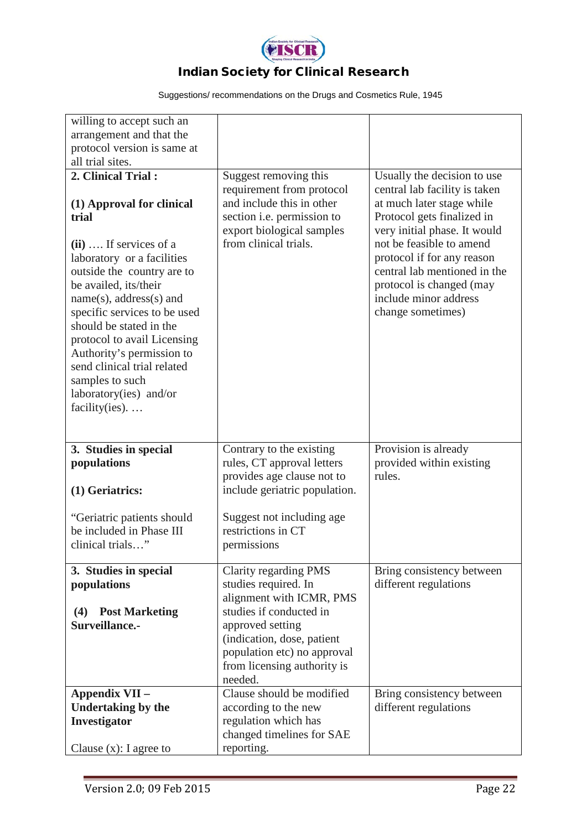

| willing to accept such an<br>arrangement and that the<br>protocol version is same at                                                                                                                                                                                                                                                                                                                                                               |                                                                                                                                                                                                                                 |                                                                                                                                                                                                                                                                                                                             |
|----------------------------------------------------------------------------------------------------------------------------------------------------------------------------------------------------------------------------------------------------------------------------------------------------------------------------------------------------------------------------------------------------------------------------------------------------|---------------------------------------------------------------------------------------------------------------------------------------------------------------------------------------------------------------------------------|-----------------------------------------------------------------------------------------------------------------------------------------------------------------------------------------------------------------------------------------------------------------------------------------------------------------------------|
| all trial sites.<br>2. Clinical Trial:<br>(1) Approval for clinical<br>trial<br>$(ii)$ If services of a<br>laboratory or a facilities<br>outside the country are to<br>be availed, its/their<br>$name(s)$ , address $(s)$ and<br>specific services to be used<br>should be stated in the<br>protocol to avail Licensing<br>Authority's permission to<br>send clinical trial related<br>samples to such<br>laboratory(ies) and/or<br>facility(ies). | Suggest removing this<br>requirement from protocol<br>and include this in other<br>section i.e. permission to<br>export biological samples<br>from clinical trials.                                                             | Usually the decision to use<br>central lab facility is taken<br>at much later stage while<br>Protocol gets finalized in<br>very initial phase. It would<br>not be feasible to amend<br>protocol if for any reason<br>central lab mentioned in the<br>protocol is changed (may<br>include minor address<br>change sometimes) |
| 3. Studies in special<br>populations<br>(1) Geriatrics:<br>"Geriatric patients should"<br>be included in Phase III<br>clinical trials"                                                                                                                                                                                                                                                                                                             | Contrary to the existing<br>rules, CT approval letters<br>provides age clause not to<br>include geriatric population.<br>Suggest not including age<br>restrictions in CT<br>permissions                                         | Provision is already<br>provided within existing<br>rules.                                                                                                                                                                                                                                                                  |
| 3. Studies in special<br>populations<br><b>Post Marketing</b><br>(4)<br>Surveillance.-                                                                                                                                                                                                                                                                                                                                                             | Clarity regarding PMS<br>studies required. In<br>alignment with ICMR, PMS<br>studies if conducted in<br>approved setting<br>(indication, dose, patient<br>population etc) no approval<br>from licensing authority is<br>needed. | Bring consistency between<br>different regulations                                                                                                                                                                                                                                                                          |
| Appendix VII -<br><b>Undertaking by the</b><br>Investigator<br>Clause $(x)$ : I agree to                                                                                                                                                                                                                                                                                                                                                           | Clause should be modified<br>according to the new<br>regulation which has<br>changed timelines for SAE<br>reporting.                                                                                                            | Bring consistency between<br>different regulations                                                                                                                                                                                                                                                                          |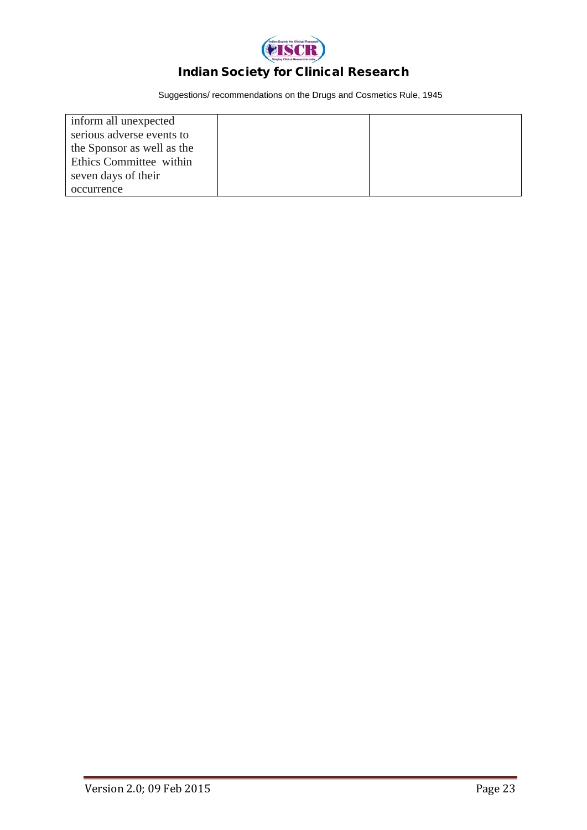

| inform all unexpected      |  |
|----------------------------|--|
| serious adverse events to  |  |
| the Sponsor as well as the |  |
| Ethics Committee within    |  |
| seven days of their        |  |
| occurrence                 |  |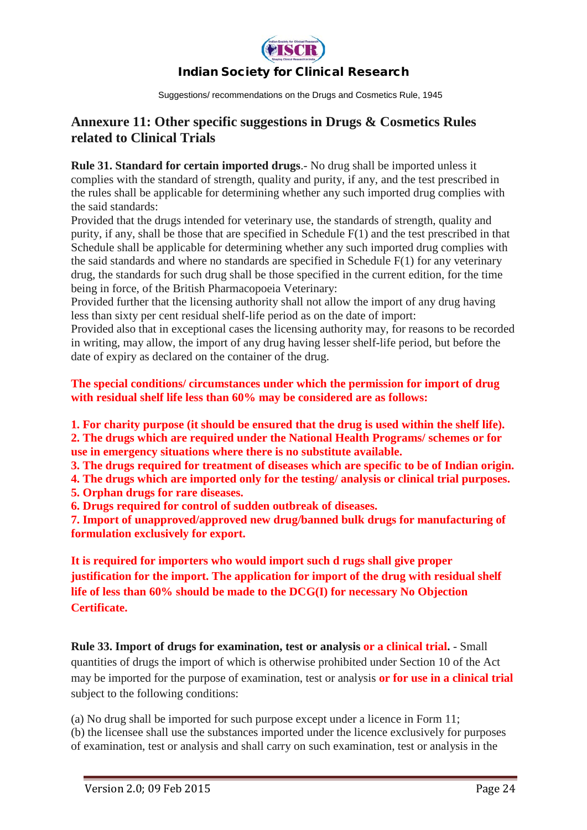

Suggestions/ recommendations on the Drugs and Cosmetics Rule, 1945

### **Annexure 11: Other specific suggestions in Drugs & Cosmetics Rules related to Clinical Trials**

**Rule 31. Standard for certain imported drugs**.- No drug shall be imported unless it complies with the standard of strength, quality and purity, if any, and the test prescribed in the rules shall be applicable for determining whether any such imported drug complies with the said standards:

Provided that the drugs intended for veterinary use, the standards of strength, quality and purity, if any, shall be those that are specified in Schedule F(1) and the test prescribed in that Schedule shall be applicable for determining whether any such imported drug complies with the said standards and where no standards are specified in Schedule F(1) for any veterinary drug, the standards for such drug shall be those specified in the current edition, for the time being in force, of the British Pharmacopoeia Veterinary:

Provided further that the licensing authority shall not allow the import of any drug having less than sixty per cent residual shelf-life period as on the date of import:

Provided also that in exceptional cases the licensing authority may, for reasons to be recorded in writing, may allow, the import of any drug having lesser shelf-life period, but before the date of expiry as declared on the container of the drug.

#### **The special conditions/ circumstances under which the permission for import of drug with residual shelf life less than 60% may be considered are as follows:**

**1. For charity purpose (it should be ensured that the drug is used within the shelf life). 2. The drugs which are required under the National Health Programs/ schemes or for use in emergency situations where there is no substitute available.**

**3. The drugs required for treatment of diseases which are specific to be of Indian origin.**

**4. The drugs which are imported only for the testing/ analysis or clinical trial purposes.**

**5. Orphan drugs for rare diseases.**

**6. Drugs required for control of sudden outbreak of diseases.**

**7. Import of unapproved/approved new drug/banned bulk drugs for manufacturing of formulation exclusively for export.**

**It is required for importers who would import such d rugs shall give proper justification for the import. The application for import of the drug with residual shelf life of less than 60% should be made to the DCG(I) for necessary No Objection Certificate.**

**Rule 33. Import of drugs for examination, test or analysis or a clinical trial.** - Small quantities of drugs the import of which is otherwise prohibited under Section 10 of the Act may be imported for the purpose of examination, test or analysis **or for use in a clinical trial** subject to the following conditions:

(a) No drug shall be imported for such purpose except under a licence in Form 11; (b) the licensee shall use the substances imported under the licence exclusively for purposes of examination, test or analysis and shall carry on such examination, test or analysis in the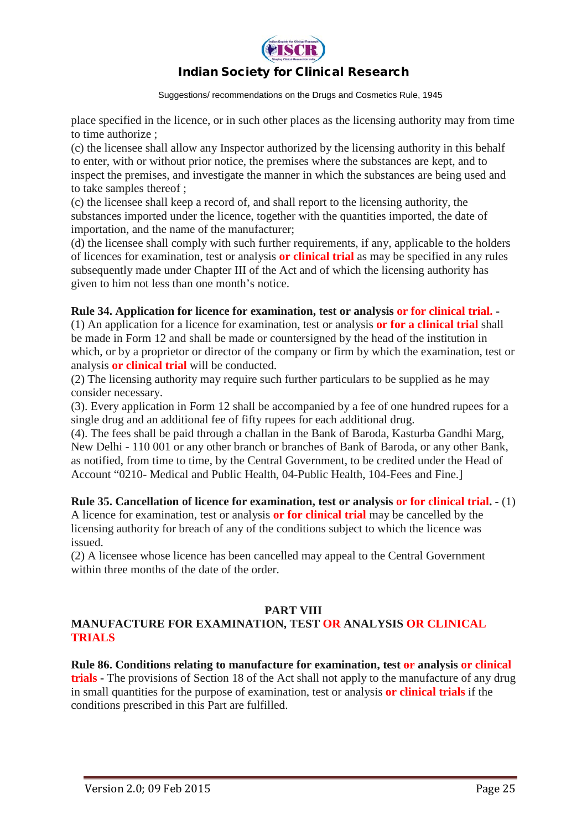

Suggestions/ recommendations on the Drugs and Cosmetics Rule, 1945

place specified in the licence, or in such other places as the licensing authority may from time to time authorize ;

(c) the licensee shall allow any Inspector authorized by the licensing authority in this behalf to enter, with or without prior notice, the premises where the substances are kept, and to inspect the premises, and investigate the manner in which the substances are being used and to take samples thereof ;

(c) the licensee shall keep a record of, and shall report to the licensing authority, the substances imported under the licence, together with the quantities imported, the date of importation, and the name of the manufacturer;

(d) the licensee shall comply with such further requirements, if any, applicable to the holders of licences for examination, test or analysis **or clinical trial** as may be specified in any rules subsequently made under Chapter III of the Act and of which the licensing authority has given to him not less than one month's notice.

#### **Rule 34. Application for licence for examination, test or analysis or for clinical trial. -**

(1) An application for a licence for examination, test or analysis **or for a clinical trial** shall be made in Form 12 and shall be made or countersigned by the head of the institution in which, or by a proprietor or director of the company or firm by which the examination, test or analysis **or clinical trial** will be conducted.

(2) The licensing authority may require such further particulars to be supplied as he may consider necessary.

(3). Every application in Form 12 shall be accompanied by a fee of one hundred rupees for a single drug and an additional fee of fifty rupees for each additional drug.

(4). The fees shall be paid through a challan in the Bank of Baroda, Kasturba Gandhi Marg, New Delhi - 110 001 or any other branch or branches of Bank of Baroda, or any other Bank, as notified, from time to time, by the Central Government, to be credited under the Head of Account "0210- Medical and Public Health, 04-Public Health, 104-Fees and Fine.]

#### **Rule 35. Cancellation of licence for examination, test or analysis or for clinical trial. -** (1)

A licence for examination, test or analysis **or for clinical trial** may be cancelled by the licensing authority for breach of any of the conditions subject to which the licence was issued.

(2) A licensee whose licence has been cancelled may appeal to the Central Government within three months of the date of the order.

#### **PART VIII**

#### **MANUFACTURE FOR EXAMINATION, TEST OR ANALYSIS OR CLINICAL TRIALS**

**Rule 86. Conditions relating to manufacture for examination, test or analysis or clinical trials -** The provisions of Section 18 of the Act shall not apply to the manufacture of any drug in small quantities for the purpose of examination, test or analysis **or clinical trials** if the conditions prescribed in this Part are fulfilled.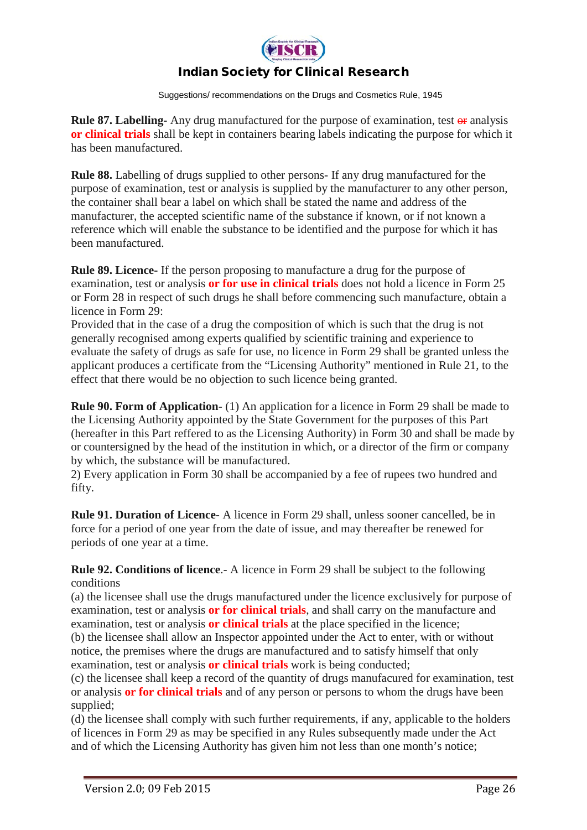

Suggestions/ recommendations on the Drugs and Cosmetics Rule, 1945

**Rule 87. Labelling-** Any drug manufactured for the purpose of examination, test or analysis **or clinical trials** shall be kept in containers bearing labels indicating the purpose for which it has been manufactured.

**Rule 88.** Labelling of drugs supplied to other persons- If any drug manufactured for the purpose of examination, test or analysis is supplied by the manufacturer to any other person, the container shall bear a label on which shall be stated the name and address of the manufacturer, the accepted scientific name of the substance if known, or if not known a reference which will enable the substance to be identified and the purpose for which it has been manufactured.

**Rule 89. Licence-** If the person proposing to manufacture a drug for the purpose of examination, test or analysis **or for use in clinical trials** does not hold a licence in Form 25 or Form 28 in respect of such drugs he shall before commencing such manufacture, obtain a licence in Form 29:

Provided that in the case of a drug the composition of which is such that the drug is not generally recognised among experts qualified by scientific training and experience to evaluate the safety of drugs as safe for use, no licence in Form 29 shall be granted unless the applicant produces a certificate from the "Licensing Authority" mentioned in Rule 21, to the effect that there would be no objection to such licence being granted.

**Rule 90. Form of Application**- (1) An application for a licence in Form 29 shall be made to the Licensing Authority appointed by the State Government for the purposes of this Part (hereafter in this Part reffered to as the Licensing Authority) in Form 30 and shall be made by or countersigned by the head of the institution in which, or a director of the firm or company by which, the substance will be manufactured.

2) Every application in Form 30 shall be accompanied by a fee of rupees two hundred and fifty.

**Rule 91. Duration of Licence**- A licence in Form 29 shall, unless sooner cancelled, be in force for a period of one year from the date of issue, and may thereafter be renewed for periods of one year at a time.

**Rule 92. Conditions of licence**.- A licence in Form 29 shall be subject to the following conditions

(a) the licensee shall use the drugs manufactured under the licence exclusively for purpose of examination, test or analysis **or for clinical trials**, and shall carry on the manufacture and examination, test or analysis **or clinical trials** at the place specified in the licence;

(b) the licensee shall allow an Inspector appointed under the Act to enter, with or without notice, the premises where the drugs are manufactured and to satisfy himself that only examination, test or analysis **or clinical trials** work is being conducted;

(c) the licensee shall keep a record of the quantity of drugs manufacured for examination, test or analysis **or for clinical trials** and of any person or persons to whom the drugs have been supplied;

(d) the licensee shall comply with such further requirements, if any, applicable to the holders of licences in Form 29 as may be specified in any Rules subsequently made under the Act and of which the Licensing Authority has given him not less than one month's notice;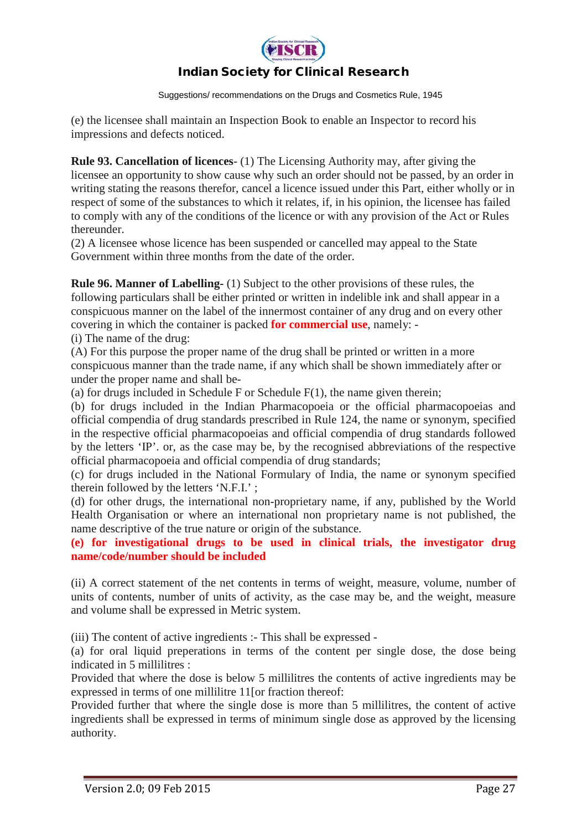

Suggestions/ recommendations on the Drugs and Cosmetics Rule, 1945

(e) the licensee shall maintain an Inspection Book to enable an Inspector to record his impressions and defects noticed.

**Rule 93. Cancellation of licences**- (1) The Licensing Authority may, after giving the licensee an opportunity to show cause why such an order should not be passed, by an order in writing stating the reasons therefor, cancel a licence issued under this Part, either wholly or in respect of some of the substances to which it relates, if, in his opinion, the licensee has failed to comply with any of the conditions of the licence or with any provision of the Act or Rules thereunder.

(2) A licensee whose licence has been suspended or cancelled may appeal to the State Government within three months from the date of the order.

**Rule 96. Manner of Labelling-** (1) Subject to the other provisions of these rules, the following particulars shall be either printed or written in indelible ink and shall appear in a conspicuous manner on the label of the innermost container of any drug and on every other covering in which the container is packed **for commercial use**, namely: -

(i) The name of the drug:

(A) For this purpose the proper name of the drug shall be printed or written in a more conspicuous manner than the trade name, if any which shall be shown immediately after or under the proper name and shall be-

(a) for drugs included in Schedule F or Schedule  $F(1)$ , the name given therein;

(b) for drugs included in the Indian Pharmacopoeia or the official pharmacopoeias and official compendia of drug standards prescribed in Rule 124, the name or synonym, specified in the respective official pharmacopoeias and official compendia of drug standards followed by the letters 'IP'. or, as the case may be, by the recognised abbreviations of the respective official pharmacopoeia and official compendia of drug standards;

(c) for drugs included in the National Formulary of India, the name or synonym specified therein followed by the letters 'N.F.I.' ;

(d) for other drugs, the international non-proprietary name, if any, published by the World Health Organisation or where an international non proprietary name is not published, the name descriptive of the true nature or origin of the substance.

**(e) for investigational drugs to be used in clinical trials, the investigator drug name/code/number should be included**

(ii) A correct statement of the net contents in terms of weight, measure, volume, number of units of contents, number of units of activity, as the case may be, and the weight, measure and volume shall be expressed in Metric system.

(iii) The content of active ingredients :- This shall be expressed -

(a) for oral liquid preperations in terms of the content per single dose, the dose being indicated in 5 millilitres :

Provided that where the dose is below 5 millilitres the contents of active ingredients may be expressed in terms of one millilitre 11[or fraction thereof:

Provided further that where the single dose is more than 5 millilitres, the content of active ingredients shall be expressed in terms of minimum single dose as approved by the licensing authority.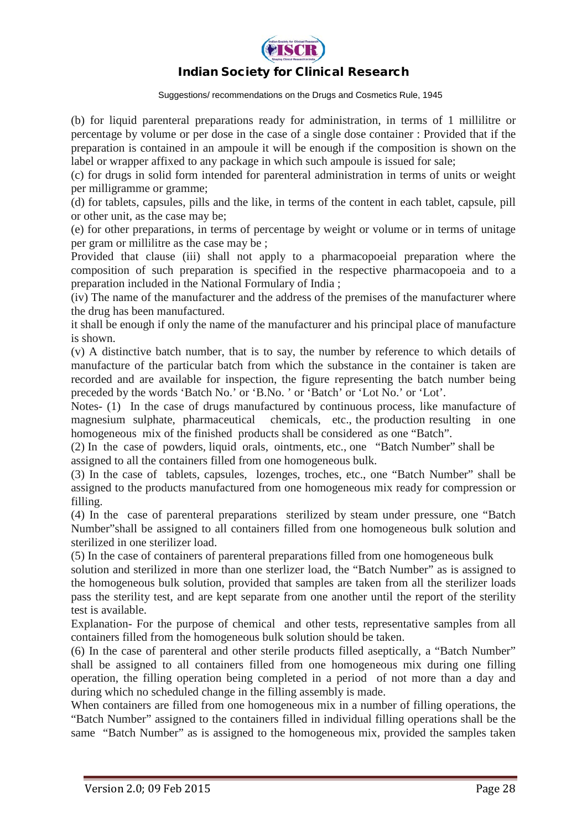

Suggestions/ recommendations on the Drugs and Cosmetics Rule, 1945

(b) for liquid parenteral preparations ready for administration, in terms of 1 millilitre or percentage by volume or per dose in the case of a single dose container : Provided that if the preparation is contained in an ampoule it will be enough if the composition is shown on the label or wrapper affixed to any package in which such ampoule is issued for sale;

(c) for drugs in solid form intended for parenteral administration in terms of units or weight per milligramme or gramme;

(d) for tablets, capsules, pills and the like, in terms of the content in each tablet, capsule, pill or other unit, as the case may be;

(e) for other preparations, in terms of percentage by weight or volume or in terms of unitage per gram or millilitre as the case may be ;

Provided that clause (iii) shall not apply to a pharmacopoeial preparation where the composition of such preparation is specified in the respective pharmacopoeia and to a preparation included in the National Formulary of India ;

(iv) The name of the manufacturer and the address of the premises of the manufacturer where the drug has been manufactured.

it shall be enough if only the name of the manufacturer and his principal place of manufacture is shown.

(v) A distinctive batch number, that is to say, the number by reference to which details of manufacture of the particular batch from which the substance in the container is taken are recorded and are available for inspection, the figure representing the batch number being preceded by the words 'Batch No.' or 'B.No. ' or 'Batch' or 'Lot No.' or 'Lot'.

Notes- (1) In the case of drugs manufactured by continuous process, like manufacture of magnesium sulphate, pharmaceutical chemicals, etc., the production resulting in one homogeneous mix of the finished products shall be considered as one "Batch".

(2) In the case of powders, liquid orals, ointments, etc., one "Batch Number" shall be assigned to all the containers filled from one homogeneous bulk.

(3) In the case of tablets, capsules, lozenges, troches, etc., one "Batch Number" shall be assigned to the products manufactured from one homogeneous mix ready for compression or filling.

(4) In the case of parenteral preparations sterilized by steam under pressure, one "Batch Number"shall be assigned to all containers filled from one homogeneous bulk solution and sterilized in one sterilizer load.

(5) In the case of containers of parenteral preparations filled from one homogeneous bulk

solution and sterilized in more than one sterlizer load, the "Batch Number" as is assigned to the homogeneous bulk solution, provided that samples are taken from all the sterilizer loads pass the sterility test, and are kept separate from one another until the report of the sterility test is available.

Explanation- For the purpose of chemical and other tests, representative samples from all containers filled from the homogeneous bulk solution should be taken.

(6) In the case of parenteral and other sterile products filled aseptically, a "Batch Number" shall be assigned to all containers filled from one homogeneous mix during one filling operation, the filling operation being completed in a period of not more than a day and during which no scheduled change in the filling assembly is made.

When containers are filled from one homogeneous mix in a number of filling operations, the "Batch Number" assigned to the containers filled in individual filling operations shall be the same "Batch Number" as is assigned to the homogeneous mix, provided the samples taken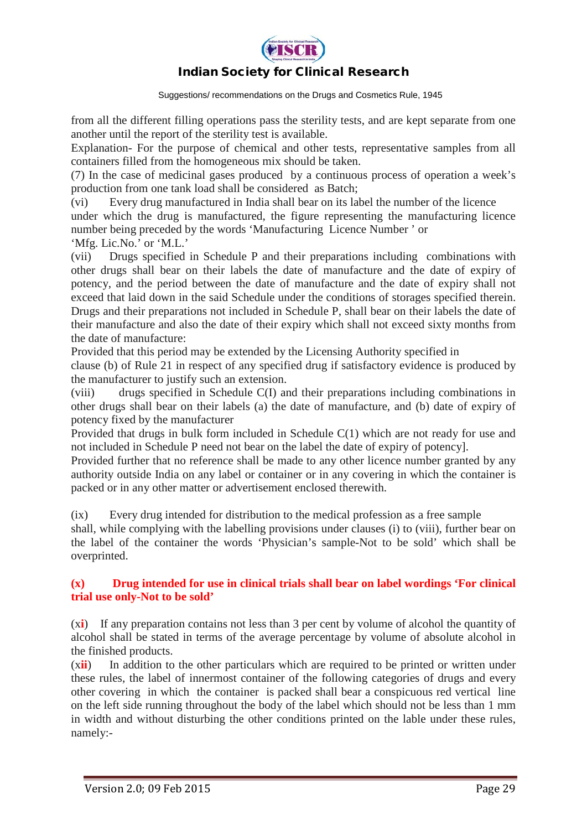

Suggestions/ recommendations on the Drugs and Cosmetics Rule, 1945

from all the different filling operations pass the sterility tests, and are kept separate from one another until the report of the sterility test is available.

Explanation- For the purpose of chemical and other tests, representative samples from all containers filled from the homogeneous mix should be taken.

(7) In the case of medicinal gases produced by a continuous process of operation a week's production from one tank load shall be considered as Batch;

(vi) Every drug manufactured in India shall bear on its label the number of the licence under which the drug is manufactured, the figure representing the manufacturing licence number being preceded by the words 'Manufacturing Licence Number ' or

'Mfg. Lic.No.' or 'M.L.'

(vii) Drugs specified in Schedule P and their preparations including combinations with other drugs shall bear on their labels the date of manufacture and the date of expiry of potency, and the period between the date of manufacture and the date of expiry shall not exceed that laid down in the said Schedule under the conditions of storages specified therein. Drugs and their preparations not included in Schedule P, shall bear on their labels the date of their manufacture and also the date of their expiry which shall not exceed sixty months from the date of manufacture:

Provided that this period may be extended by the Licensing Authority specified in

clause (b) of Rule 21 in respect of any specified drug if satisfactory evidence is produced by the manufacturer to justify such an extension.

(viii) drugs specified in Schedule C(I) and their preparations including combinations in other drugs shall bear on their labels (a) the date of manufacture, and (b) date of expiry of potency fixed by the manufacturer

Provided that drugs in bulk form included in Schedule C(1) which are not ready for use and not included in Schedule P need not bear on the label the date of expiry of potency].

Provided further that no reference shall be made to any other licence number granted by any authority outside India on any label or container or in any covering in which the container is packed or in any other matter or advertisement enclosed therewith.

(ix) Every drug intended for distribution to the medical profession as a free sample shall, while complying with the labelling provisions under clauses (i) to (viii), further bear on the label of the container the words 'Physician's sample-Not to be sold' which shall be overprinted.

#### **(x) Drug intended for use in clinical trials shall bear on label wordings 'For clinical trial use only-Not to be sold'**

(x**i**) If any preparation contains not less than 3 per cent by volume of alcohol the quantity of alcohol shall be stated in terms of the average percentage by volume of absolute alcohol in the finished products.

(x**ii**) In addition to the other particulars which are required to be printed or written under these rules, the label of innermost container of the following categories of drugs and every other covering in which the container is packed shall bear a conspicuous red vertical line on the left side running throughout the body of the label which should not be less than 1 mm in width and without disturbing the other conditions printed on the lable under these rules, namely:-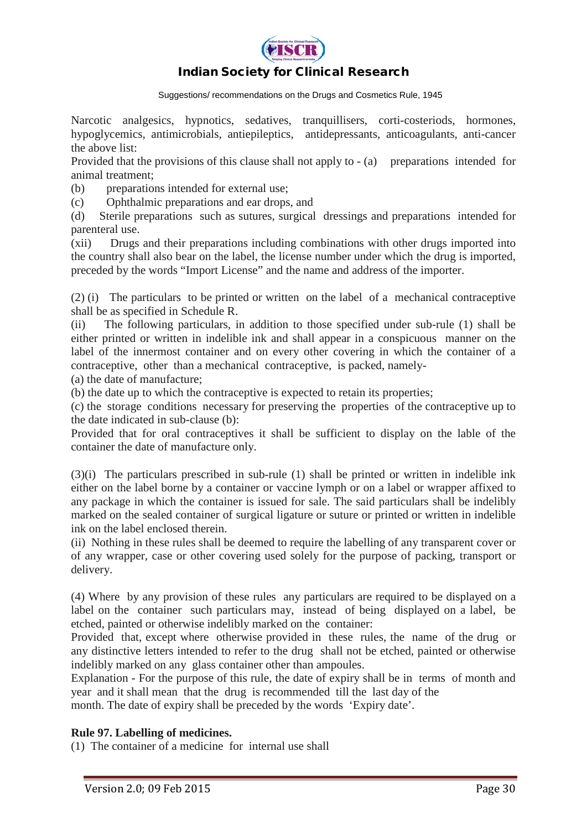

Suggestions/ recommendations on the Drugs and Cosmetics Rule, 1945

Narcotic analgesics, hypnotics, sedatives, tranquillisers, corti-costeriods, hormones, hypoglycemics, antimicrobials, antiepileptics, antidepressants, anticoagulants, anti-cancer the above list:

Provided that the provisions of this clause shall not apply to  $-$  (a) preparations intended for animal treatment;

(b) preparations intended for external use;

(c) Ophthalmic preparations and ear drops, and

(d) Sterile preparations such as sutures, surgical dressings and preparations intended for parenteral use.

(xii) Drugs and their preparations including combinations with other drugs imported into the country shall also bear on the label, the license number under which the drug is imported, preceded by the words "Import License" and the name and address of the importer.

(2) (i) The particulars to be printed or written on the label of a mechanical contraceptive shall be as specified in Schedule R.

(ii) The following particulars, in addition to those specified under sub-rule (1) shall be either printed or written in indelible ink and shall appear in a conspicuous manner on the label of the innermost container and on every other covering in which the container of a contraceptive, other than a mechanical contraceptive, is packed, namely-

(a) the date of manufacture;

(b) the date up to which the contraceptive is expected to retain its properties;

(c) the storage conditions necessary for preserving the properties of the contraceptive up to the date indicated in sub-clause (b):

Provided that for oral contraceptives it shall be sufficient to display on the lable of the container the date of manufacture only.

(3)(i) The particulars prescribed in sub-rule (1) shall be printed or written in indelible ink either on the label borne by a container or vaccine lymph or on a label or wrapper affixed to any package in which the container is issued for sale. The said particulars shall be indelibly marked on the sealed container of surgical ligature or suture or printed or written in indelible ink on the label enclosed therein.

(ii) Nothing in these rules shall be deemed to require the labelling of any transparent cover or of any wrapper, case or other covering used solely for the purpose of packing, transport or delivery.

(4) Where by any provision of these rules any particulars are required to be displayed on a label on the container such particulars may, instead of being displayed on a label, be etched, painted or otherwise indelibly marked on the container:

Provided that, except where otherwise provided in these rules, the name of the drug or any distinctive letters intended to refer to the drug shall not be etched, painted or otherwise indelibly marked on any glass container other than ampoules.

Explanation - For the purpose of this rule, the date of expiry shall be in terms of month and year and it shall mean that the drug is recommended till the last day of the

month. The date of expiry shall be preceded by the words 'Expiry date'.

#### **Rule 97. Labelling of medicines.**

(1) The container of a medicine for internal use shall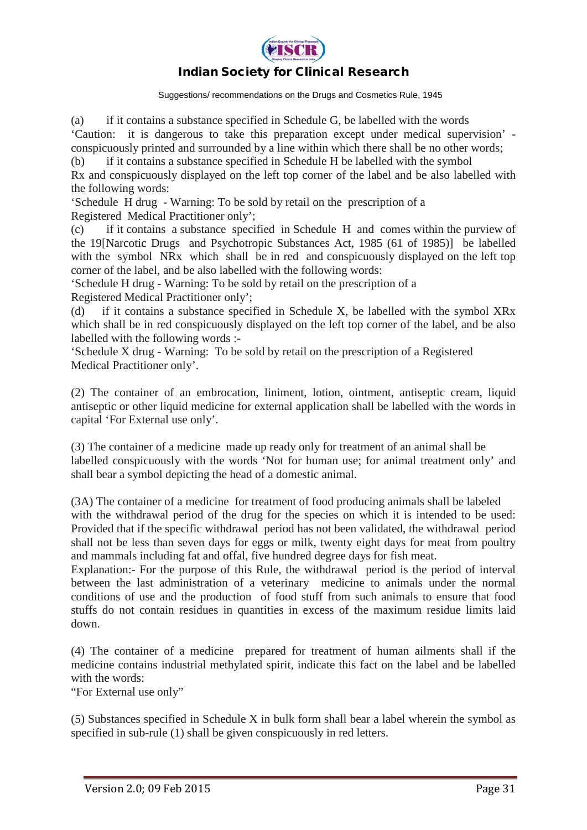

Suggestions/ recommendations on the Drugs and Cosmetics Rule, 1945

(a) if it contains a substance specified in Schedule G, be labelled with the words 'Caution: it is dangerous to take this preparation except under medical supervision' conspicuously printed and surrounded by a line within which there shall be no other words;

(b) if it contains a substance specified in Schedule H be labelled with the symbol Rx and conspicuously displayed on the left top corner of the label and be also labelled with the following words:

'Schedule H drug - Warning: To be sold by retail on the prescription of a Registered Medical Practitioner only';

(c) if it contains a substance specified in Schedule H and comes within the purview of the 19[Narcotic Drugs and Psychotropic Substances Act, 1985 (61 of 1985)] be labelled with the symbol NR<sub>x</sub> which shall be in red and conspicuously displayed on the left top corner of the label, and be also labelled with the following words:

'Schedule H drug - Warning: To be sold by retail on the prescription of a

Registered Medical Practitioner only';

(d) if it contains a substance specified in Schedule X, be labelled with the symbol XRx which shall be in red conspicuously displayed on the left top corner of the label, and be also labelled with the following words :-

'Schedule X drug - Warning: To be sold by retail on the prescription of a Registered Medical Practitioner only'.

(2) The container of an embrocation, liniment, lotion, ointment, antiseptic cream, liquid antiseptic or other liquid medicine for external application shall be labelled with the words in capital 'For External use only'.

(3) The container of a medicine made up ready only for treatment of an animal shall be labelled conspicuously with the words 'Not for human use; for animal treatment only' and shall bear a symbol depicting the head of a domestic animal.

(3A) The container of a medicine for treatment of food producing animals shall be labeled with the withdrawal period of the drug for the species on which it is intended to be used: Provided that if the specific withdrawal period has not been validated, the withdrawal period shall not be less than seven days for eggs or milk, twenty eight days for meat from poultry and mammals including fat and offal, five hundred degree days for fish meat.

Explanation:- For the purpose of this Rule, the withdrawal period is the period of interval between the last administration of a veterinary medicine to animals under the normal conditions of use and the production of food stuff from such animals to ensure that food stuffs do not contain residues in quantities in excess of the maximum residue limits laid down.

(4) The container of a medicine prepared for treatment of human ailments shall if the medicine contains industrial methylated spirit, indicate this fact on the label and be labelled with the words:

"For External use only"

(5) Substances specified in Schedule X in bulk form shall bear a label wherein the symbol as specified in sub-rule (1) shall be given conspicuously in red letters.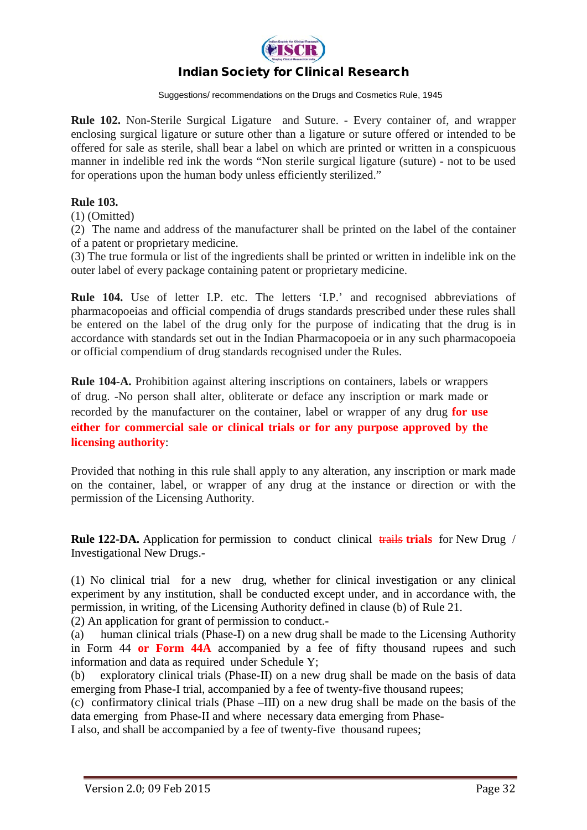

Suggestions/ recommendations on the Drugs and Cosmetics Rule, 1945

**Rule 102.** Non-Sterile Surgical Ligature and Suture. - Every container of, and wrapper enclosing surgical ligature or suture other than a ligature or suture offered or intended to be offered for sale as sterile, shall bear a label on which are printed or written in a conspicuous manner in indelible red ink the words "Non sterile surgical ligature (suture) - not to be used for operations upon the human body unless efficiently sterilized."

#### **Rule 103.**

(1) (Omitted)

(2) The name and address of the manufacturer shall be printed on the label of the container of a patent or proprietary medicine.

(3) The true formula or list of the ingredients shall be printed or written in indelible ink on the outer label of every package containing patent or proprietary medicine.

**Rule 104.** Use of letter I.P. etc. The letters 'I.P.' and recognised abbreviations of pharmacopoeias and official compendia of drugs standards prescribed under these rules shall be entered on the label of the drug only for the purpose of indicating that the drug is in accordance with standards set out in the Indian Pharmacopoeia or in any such pharmacopoeia or official compendium of drug standards recognised under the Rules.

**Rule 104-A.** Prohibition against altering inscriptions on containers, labels or wrappers of drug. -No person shall alter, obliterate or deface any inscription or mark made or recorded by the manufacturer on the container, label or wrapper of any drug **for use either for commercial sale or clinical trials or for any purpose approved by the licensing authority**:

Provided that nothing in this rule shall apply to any alteration, any inscription or mark made on the container, label, or wrapper of any drug at the instance or direction or with the permission of the Licensing Authority.

**Rule 122-DA.** Application for permission to conduct clinical trails trials for New Drug / Investigational New Drugs.-

(1) No clinical trial for a new drug, whether for clinical investigation or any clinical experiment by any institution, shall be conducted except under, and in accordance with, the permission, in writing, of the Licensing Authority defined in clause (b) of Rule 21.

(2) An application for grant of permission to conduct.-

(a) human clinical trials (Phase-I) on a new drug shall be made to the Licensing Authority in Form 44 **or Form 44A** accompanied by a fee of fifty thousand rupees and such information and data as required under Schedule Y;

(b) exploratory clinical trials (Phase-II) on a new drug shall be made on the basis of data emerging from Phase-I trial, accompanied by a fee of twenty-five thousand rupees;

(c) confirmatory clinical trials (Phase –III) on a new drug shall be made on the basis of the data emerging from Phase-II and where necessary data emerging from Phase-

I also, and shall be accompanied by a fee of twenty-five thousand rupees;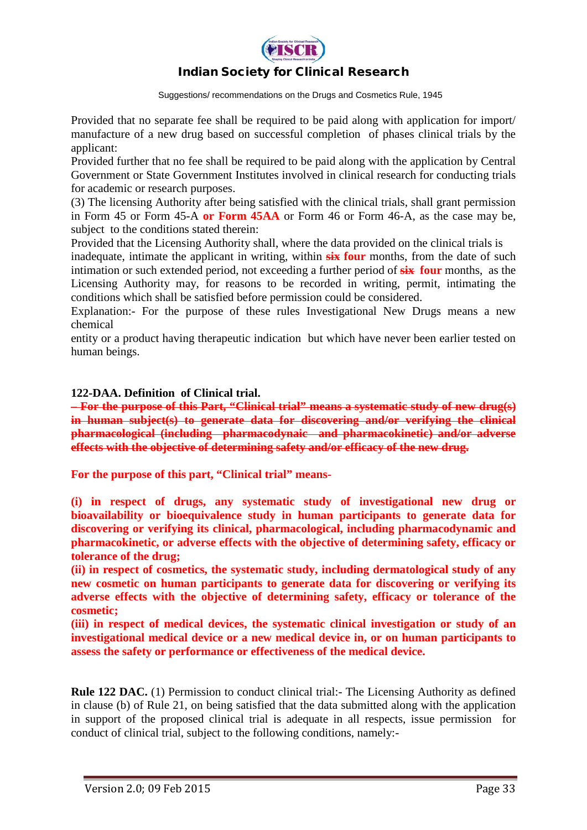

Suggestions/ recommendations on the Drugs and Cosmetics Rule, 1945

Provided that no separate fee shall be required to be paid along with application for import/ manufacture of a new drug based on successful completion of phases clinical trials by the applicant:

Provided further that no fee shall be required to be paid along with the application by Central Government or State Government Institutes involved in clinical research for conducting trials for academic or research purposes.

(3) The licensing Authority after being satisfied with the clinical trials, shall grant permission in Form 45 or Form 45-A **or Form 45AA** or Form 46 or Form 46-A, as the case may be, subject to the conditions stated therein:

Provided that the Licensing Authority shall, where the data provided on the clinical trials is

inadequate, intimate the applicant in writing, within **six four** months, from the date of such intimation or such extended period, not exceeding a further period of **six four** months, as the Licensing Authority may, for reasons to be recorded in writing, permit, intimating the conditions which shall be satisfied before permission could be considered.

Explanation:- For the purpose of these rules Investigational New Drugs means a new chemical

entity or a product having therapeutic indication but which have never been earlier tested on human beings.

**122-DAA. Definition of Clinical trial.** 

**– For the purpose of this Part, "Clinical trial" means a systematic study of new drug(s) in human subject(s) to generate data for discovering and/or verifying the clinical pharmacological (including pharmacodynaic and pharmacokinetic) and/or adverse effects with the objective of determining safety and/or efficacy of the new drug.**

**For the purpose of this part, "Clinical trial" means-**

**(i) in respect of drugs, any systematic study of investigational new drug or bioavailability or bioequivalence study in human participants to generate data for discovering or verifying its clinical, pharmacological, including pharmacodynamic and pharmacokinetic, or adverse effects with the objective of determining safety, efficacy or tolerance of the drug;** 

**(ii) in respect of cosmetics, the systematic study, including dermatological study of any new cosmetic on human participants to generate data for discovering or verifying its adverse effects with the objective of determining safety, efficacy or tolerance of the cosmetic;** 

**(iii) in respect of medical devices, the systematic clinical investigation or study of an investigational medical device or a new medical device in, or on human participants to assess the safety or performance or effectiveness of the medical device.**

**Rule 122 DAC.** (1) Permission to conduct clinical trial:- The Licensing Authority as defined in clause (b) of Rule 21, on being satisfied that the data submitted along with the application in support of the proposed clinical trial is adequate in all respects, issue permission for conduct of clinical trial, subject to the following conditions, namely:-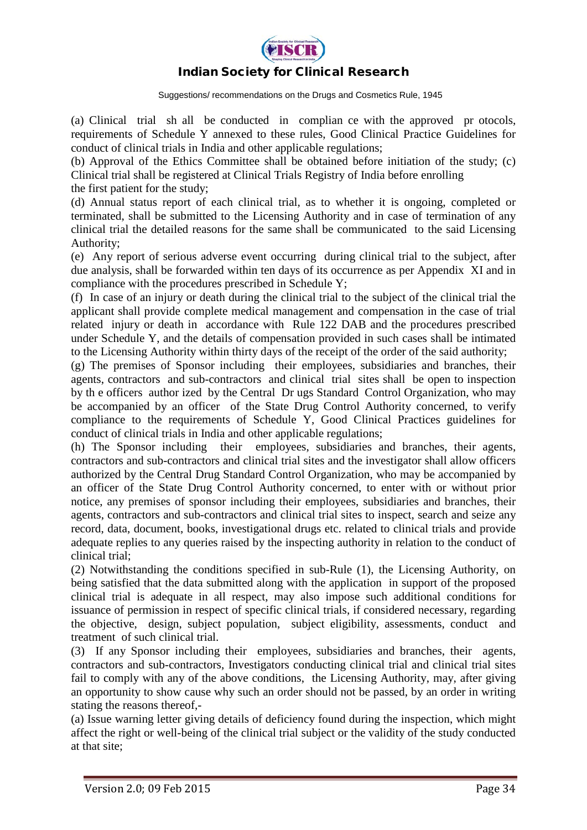

Suggestions/ recommendations on the Drugs and Cosmetics Rule, 1945

(a) Clinical trial sh all be conducted in complian ce with the approved pr otocols, requirements of Schedule Y annexed to these rules, Good Clinical Practice Guidelines for conduct of clinical trials in India and other applicable regulations;

(b) Approval of the Ethics Committee shall be obtained before initiation of the study; (c) Clinical trial shall be registered at Clinical Trials Registry of India before enrolling the first patient for the study;

(d) Annual status report of each clinical trial, as to whether it is ongoing, completed or terminated, shall be submitted to the Licensing Authority and in case of termination of any clinical trial the detailed reasons for the same shall be communicated to the said Licensing Authority;

(e) Any report of serious adverse event occurring during clinical trial to the subject, after due analysis, shall be forwarded within ten days of its occurrence as per Appendix XI and in compliance with the procedures prescribed in Schedule Y;

(f) In case of an injury or death during the clinical trial to the subject of the clinical trial the applicant shall provide complete medical management and compensation in the case of trial related injury or death in accordance with Rule 122 DAB and the procedures prescribed under Schedule Y, and the details of compensation provided in such cases shall be intimated to the Licensing Authority within thirty days of the receipt of the order of the said authority;

(g) The premises of Sponsor including their employees, subsidiaries and branches, their agents, contractors and sub-contractors and clinical trial sites shall be open to inspection by th e officers author ized by the Central Dr ugs Standard Control Organization, who may be accompanied by an officer of the State Drug Control Authority concerned, to verify compliance to the requirements of Schedule Y, Good Clinical Practices guidelines for conduct of clinical trials in India and other applicable regulations;

(h) The Sponsor including their employees, subsidiaries and branches, their agents, contractors and sub-contractors and clinical trial sites and the investigator shall allow officers authorized by the Central Drug Standard Control Organization, who may be accompanied by an officer of the State Drug Control Authority concerned, to enter with or without prior notice, any premises of sponsor including their employees, subsidiaries and branches, their agents, contractors and sub-contractors and clinical trial sites to inspect, search and seize any record, data, document, books, investigational drugs etc. related to clinical trials and provide adequate replies to any queries raised by the inspecting authority in relation to the conduct of clinical trial;

(2) Notwithstanding the conditions specified in sub-Rule (1), the Licensing Authority, on being satisfied that the data submitted along with the application in support of the proposed clinical trial is adequate in all respect, may also impose such additional conditions for issuance of permission in respect of specific clinical trials, if considered necessary, regarding the objective, design, subject population, subject eligibility, assessments, conduct and treatment of such clinical trial.

(3) If any Sponsor including their employees, subsidiaries and branches, their agents, contractors and sub-contractors, Investigators conducting clinical trial and clinical trial sites fail to comply with any of the above conditions, the Licensing Authority, may, after giving an opportunity to show cause why such an order should not be passed, by an order in writing stating the reasons thereof,-

(a) Issue warning letter giving details of deficiency found during the inspection, which might affect the right or well-being of the clinical trial subject or the validity of the study conducted at that site;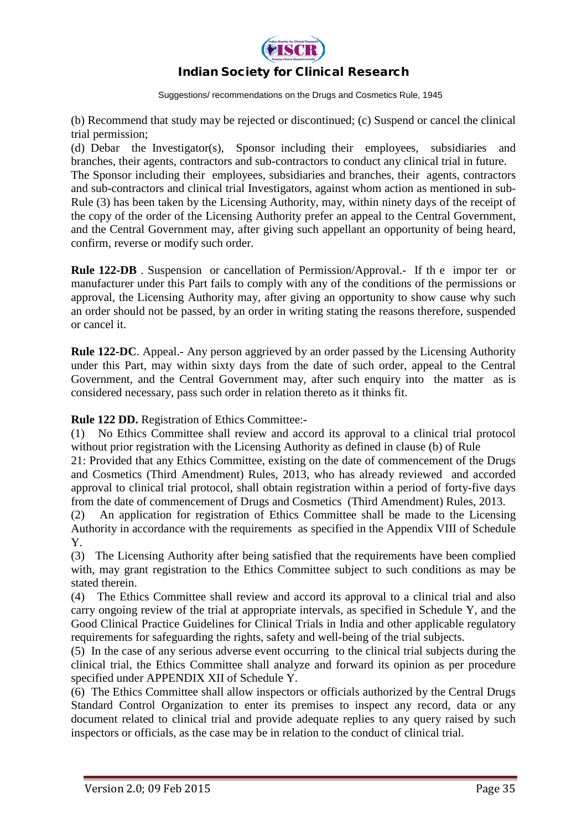

Suggestions/ recommendations on the Drugs and Cosmetics Rule, 1945

(b) Recommend that study may be rejected or discontinued; (c) Suspend or cancel the clinical trial permission;

(d) Debar the Investigator(s), Sponsor including their employees, subsidiaries and branches, their agents, contractors and sub-contractors to conduct any clinical trial in future. The Sponsor including their employees, subsidiaries and branches, their agents, contractors and sub-contractors and clinical trial Investigators, against whom action as mentioned in sub-Rule (3) has been taken by the Licensing Authority, may, within ninety days of the receipt of the copy of the order of the Licensing Authority prefer an appeal to the Central Government, and the Central Government may, after giving such appellant an opportunity of being heard, confirm, reverse or modify such order.

**Rule 122-DB** . Suspension or cancellation of Permission/Approval.- If the importer or manufacturer under this Part fails to comply with any of the conditions of the permissions or approval, the Licensing Authority may, after giving an opportunity to show cause why such an order should not be passed, by an order in writing stating the reasons therefore, suspended or cancel it.

**Rule 122-DC**. Appeal.- Any person aggrieved by an order passed by the Licensing Authority under this Part, may within sixty days from the date of such order, appeal to the Central Government, and the Central Government may, after such enquiry into the matter as is considered necessary, pass such order in relation thereto as it thinks fit.

**Rule 122 DD.** Registration of Ethics Committee:-

(1) No Ethics Committee shall review and accord its approval to a clinical trial protocol without prior registration with the Licensing Authority as defined in clause (b) of Rule

21: Provided that any Ethics Committee, existing on the date of commencement of the Drugs and Cosmetics (Third Amendment) Rules, 2013, who has already reviewed and accorded approval to clinical trial protocol, shall obtain registration within a period of forty-five days from the date of commencement of Drugs and Cosmetics (Third Amendment) Rules, 2013.

(2) An application for registration of Ethics Committee shall be made to the Licensing Authority in accordance with the requirements as specified in the Appendix VIII of Schedule Y.

(3) The Licensing Authority after being satisfied that the requirements have been complied with, may grant registration to the Ethics Committee subject to such conditions as may be stated therein.

(4) The Ethics Committee shall review and accord its approval to a clinical trial and also carry ongoing review of the trial at appropriate intervals, as specified in Schedule Y, and the Good Clinical Practice Guidelines for Clinical Trials in India and other applicable regulatory requirements for safeguarding the rights, safety and well-being of the trial subjects.

(5) In the case of any serious adverse event occurring to the clinical trial subjects during the clinical trial, the Ethics Committee shall analyze and forward its opinion as per procedure specified under APPENDIX XII of Schedule Y.

(6) The Ethics Committee shall allow inspectors or officials authorized by the Central Drugs Standard Control Organization to enter its premises to inspect any record, data or any document related to clinical trial and provide adequate replies to any query raised by such inspectors or officials, as the case may be in relation to the conduct of clinical trial.